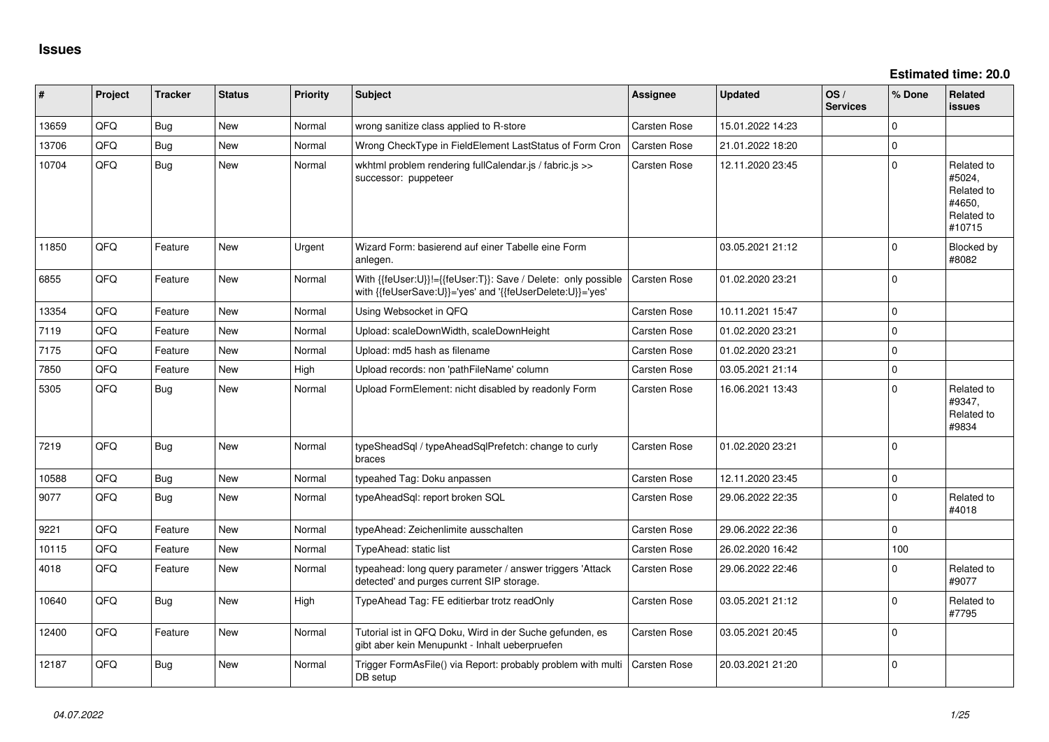**Estimated time: 20.0**

| ∦     | Project | <b>Tracker</b> | <b>Status</b> | <b>Priority</b> | Subject                                                                                                                    | <b>Assignee</b> | <b>Updated</b>   | OS/<br><b>Services</b> | % Done      | Related<br><b>issues</b>                                             |
|-------|---------|----------------|---------------|-----------------|----------------------------------------------------------------------------------------------------------------------------|-----------------|------------------|------------------------|-------------|----------------------------------------------------------------------|
| 13659 | QFQ     | Bug            | New           | Normal          | wrong sanitize class applied to R-store                                                                                    | Carsten Rose    | 15.01.2022 14:23 |                        | $\Omega$    |                                                                      |
| 13706 | QFQ     | Bug            | <b>New</b>    | Normal          | Wrong CheckType in FieldElement LastStatus of Form Cron                                                                    | Carsten Rose    | 21.01.2022 18:20 |                        | $\mathbf 0$ |                                                                      |
| 10704 | QFQ     | <b>Bug</b>     | <b>New</b>    | Normal          | wkhtml problem rendering fullCalendar.js / fabric.js >><br>successor: puppeteer                                            | Carsten Rose    | 12.11.2020 23:45 |                        | $\Omega$    | Related to<br>#5024,<br>Related to<br>#4650,<br>Related to<br>#10715 |
| 11850 | QFQ     | Feature        | <b>New</b>    | Urgent          | Wizard Form: basierend auf einer Tabelle eine Form<br>anlegen.                                                             |                 | 03.05.2021 21:12 |                        | $\Omega$    | Blocked by<br>#8082                                                  |
| 6855  | QFQ     | Feature        | <b>New</b>    | Normal          | With {{feUser:U}}!={{feUser:T}}: Save / Delete: only possible<br>with {{feUserSave:U}}='yes' and '{{feUserDelete:U}}='yes' | Carsten Rose    | 01.02.2020 23:21 |                        | $\Omega$    |                                                                      |
| 13354 | QFQ     | Feature        | <b>New</b>    | Normal          | Using Websocket in QFQ                                                                                                     | Carsten Rose    | 10.11.2021 15:47 |                        | $\Omega$    |                                                                      |
| 7119  | QFQ     | Feature        | <b>New</b>    | Normal          | Upload: scaleDownWidth, scaleDownHeight                                                                                    | Carsten Rose    | 01.02.2020 23:21 |                        | $\mathbf 0$ |                                                                      |
| 7175  | QFQ     | Feature        | <b>New</b>    | Normal          | Upload: md5 hash as filename                                                                                               | Carsten Rose    | 01.02.2020 23:21 |                        | $\mathbf 0$ |                                                                      |
| 7850  | QFQ     | Feature        | <b>New</b>    | High            | Upload records: non 'pathFileName' column                                                                                  | Carsten Rose    | 03.05.2021 21:14 |                        | $\mathbf 0$ |                                                                      |
| 5305  | QFQ     | Bug            | <b>New</b>    | Normal          | Upload FormElement: nicht disabled by readonly Form                                                                        | Carsten Rose    | 16.06.2021 13:43 |                        | $\Omega$    | Related to<br>#9347,<br>Related to<br>#9834                          |
| 7219  | QFQ     | <b>Bug</b>     | <b>New</b>    | Normal          | typeSheadSql / typeAheadSqlPrefetch: change to curly<br>braces                                                             | Carsten Rose    | 01.02.2020 23:21 |                        | $\mathbf 0$ |                                                                      |
| 10588 | QFQ     | Bug            | New           | Normal          | typeahed Tag: Doku anpassen                                                                                                | Carsten Rose    | 12.11.2020 23:45 |                        | $\mathbf 0$ |                                                                      |
| 9077  | QFQ     | <b>Bug</b>     | <b>New</b>    | Normal          | typeAheadSql: report broken SQL                                                                                            | Carsten Rose    | 29.06.2022 22:35 |                        | $\Omega$    | Related to<br>#4018                                                  |
| 9221  | QFQ     | Feature        | <b>New</b>    | Normal          | typeAhead: Zeichenlimite ausschalten                                                                                       | Carsten Rose    | 29.06.2022 22:36 |                        | $\mathbf 0$ |                                                                      |
| 10115 | QFQ     | Feature        | <b>New</b>    | Normal          | TypeAhead: static list                                                                                                     | Carsten Rose    | 26.02.2020 16:42 |                        | 100         |                                                                      |
| 4018  | QFQ     | Feature        | New           | Normal          | typeahead: long query parameter / answer triggers 'Attack<br>detected' and purges current SIP storage.                     | Carsten Rose    | 29.06.2022 22:46 |                        | $\Omega$    | Related to<br>#9077                                                  |
| 10640 | QFQ     | Bug            | <b>New</b>    | High            | TypeAhead Tag: FE editierbar trotz readOnly                                                                                | Carsten Rose    | 03.05.2021 21:12 |                        | $\Omega$    | Related to<br>#7795                                                  |
| 12400 | QFQ     | Feature        | New           | Normal          | Tutorial ist in QFQ Doku, Wird in der Suche gefunden, es<br>gibt aber kein Menupunkt - Inhalt ueberpruefen                 | Carsten Rose    | 03.05.2021 20:45 |                        | $\Omega$    |                                                                      |
| 12187 | QFQ     | Bug            | <b>New</b>    | Normal          | Trigger FormAsFile() via Report: probably problem with multi<br>DB setup                                                   | Carsten Rose    | 20.03.2021 21:20 |                        | $\Omega$    |                                                                      |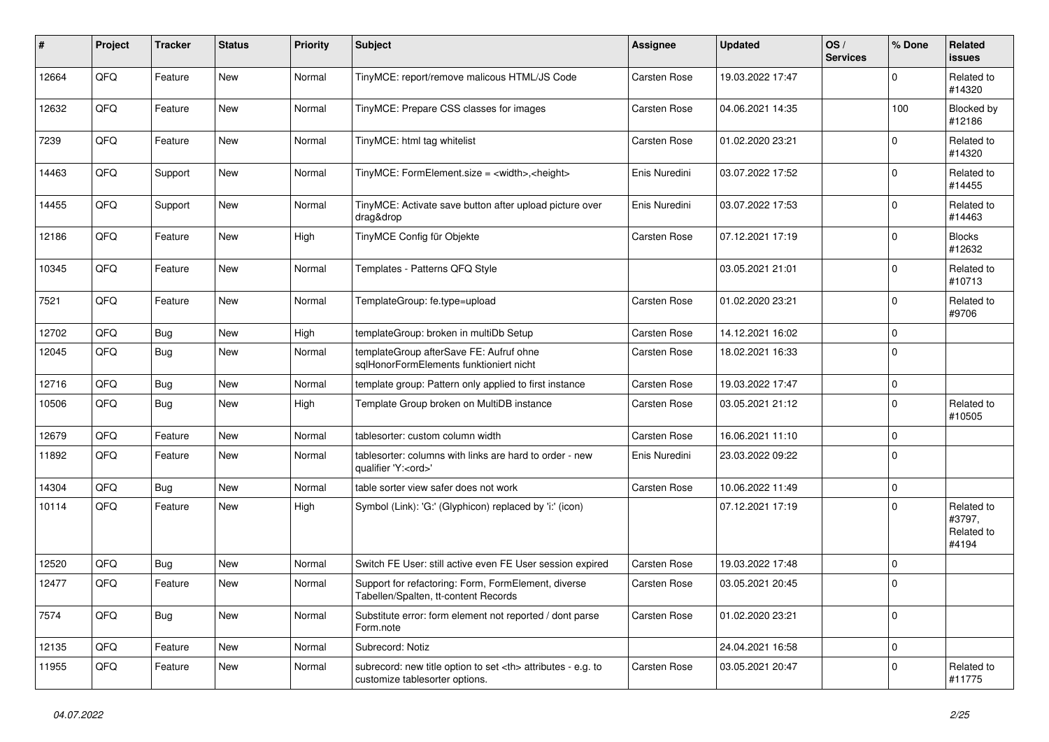| #     | Project | <b>Tracker</b> | <b>Status</b> | <b>Priority</b> | <b>Subject</b>                                                                                       | <b>Assignee</b>                                        | <b>Updated</b>   | OS/<br><b>Services</b> | % Done      | <b>Related</b><br><b>issues</b>             |                      |
|-------|---------|----------------|---------------|-----------------|------------------------------------------------------------------------------------------------------|--------------------------------------------------------|------------------|------------------------|-------------|---------------------------------------------|----------------------|
| 12664 | QFQ     | Feature        | <b>New</b>    | Normal          | TinyMCE: report/remove malicous HTML/JS Code                                                         | Carsten Rose                                           | 19.03.2022 17:47 |                        | $\mathbf 0$ | Related to<br>#14320                        |                      |
| 12632 | QFQ     | Feature        | New           | Normal          | TinyMCE: Prepare CSS classes for images                                                              | Carsten Rose                                           | 04.06.2021 14:35 |                        | 100         | Blocked by<br>#12186                        |                      |
| 7239  | QFQ     | Feature        | <b>New</b>    | Normal          | TinyMCE: html tag whitelist                                                                          | Carsten Rose                                           | 01.02.2020 23:21 |                        | $\Omega$    | Related to<br>#14320                        |                      |
| 14463 | QFQ     | Support        | <b>New</b>    | Normal          | TinyMCE: FormElement.size = <width>,<height></height></width>                                        | Enis Nuredini                                          | 03.07.2022 17:52 |                        | $\mathbf 0$ | Related to<br>#14455                        |                      |
| 14455 | QFQ     | Support        | New           | Normal          | TinyMCE: Activate save button after upload picture over<br>drag&drop                                 | Enis Nuredini                                          | 03.07.2022 17:53 |                        | $\mathbf 0$ | Related to<br>#14463                        |                      |
| 12186 | QFQ     | Feature        | <b>New</b>    | High            | TinyMCE Config für Objekte                                                                           | Carsten Rose                                           | 07.12.2021 17:19 |                        | $\mathbf 0$ | <b>Blocks</b><br>#12632                     |                      |
| 10345 | QFQ     | Feature        | <b>New</b>    | Normal          | Templates - Patterns QFQ Style                                                                       |                                                        | 03.05.2021 21:01 |                        | $\Omega$    | Related to<br>#10713                        |                      |
| 7521  | QFQ     | Feature        | New           | Normal          | TemplateGroup: fe.type=upload                                                                        | Carsten Rose                                           | 01.02.2020 23:21 |                        | $\mathbf 0$ | Related to<br>#9706                         |                      |
| 12702 | QFQ     | Bug            | <b>New</b>    | High            | templateGroup: broken in multiDb Setup                                                               | Carsten Rose                                           | 14.12.2021 16:02 |                        | $\mathbf 0$ |                                             |                      |
| 12045 | QFQ     | Bug            | New           | Normal          | templateGroup afterSave FE: Aufruf ohne<br>sglHonorFormElements funktioniert nicht                   | <b>Carsten Rose</b>                                    | 18.02.2021 16:33 |                        | $\mathbf 0$ |                                             |                      |
| 12716 | QFQ     | Bug            | <b>New</b>    | Normal          | template group: Pattern only applied to first instance                                               | Carsten Rose                                           | 19.03.2022 17:47 |                        | $\pmb{0}$   |                                             |                      |
| 10506 | QFQ     | Bug            | New           | High            | Template Group broken on MultiDB instance                                                            | Carsten Rose                                           | 03.05.2021 21:12 |                        | $\pmb{0}$   | Related to<br>#10505                        |                      |
| 12679 | QFQ     | Feature        | New           | Normal          | tablesorter: custom column width                                                                     | Carsten Rose                                           | 16.06.2021 11:10 |                        | $\pmb{0}$   |                                             |                      |
| 11892 | QFQ     | Feature        | New           | Normal          | tablesorter: columns with links are hard to order - new<br>qualifier 'Y: <ord>'</ord>                | Enis Nuredini                                          | 23.03.2022 09:22 |                        | $\mathbf 0$ |                                             |                      |
| 14304 | QFQ     | <b>Bug</b>     | <b>New</b>    | Normal          | table sorter view safer does not work                                                                | Carsten Rose                                           | 10.06.2022 11:49 |                        | $\mathbf 0$ |                                             |                      |
| 10114 | QFQ     | Feature        | <b>New</b>    | High            | Symbol (Link): 'G:' (Glyphicon) replaced by 'i:' (icon)                                              |                                                        | 07.12.2021 17:19 |                        | $\Omega$    | Related to<br>#3797.<br>Related to<br>#4194 |                      |
| 12520 | QFQ     | Bug            | <b>New</b>    | Normal          | Switch FE User: still active even FE User session expired                                            | <b>Carsten Rose</b>                                    | 19.03.2022 17:48 |                        | $\pmb{0}$   |                                             |                      |
| 12477 | QFQ     | Feature        | <b>New</b>    | Normal          | Support for refactoring: Form, FormElement, diverse<br>Tabellen/Spalten, tt-content Records          | <b>Carsten Rose</b>                                    | 03.05.2021 20:45 |                        | $\mathbf 0$ |                                             |                      |
| 7574  | QFQ     | Bug            | <b>New</b>    | Normal          | Substitute error: form element not reported / dont parse<br>Form.note                                | Carsten Rose                                           | 01.02.2020 23:21 |                        | $\pmb{0}$   |                                             |                      |
| 12135 | QFQ     | Feature        | New           | Normal          | Subrecord: Notiz                                                                                     |                                                        | 24.04.2021 16:58 |                        | $\mathbf 0$ |                                             |                      |
| 11955 | QFQ     | Feature        | New           | Normal          | subrecord: new title option to set <th> attributes - e.g. to<br/>customize tablesorter options.</th> | attributes - e.g. to<br>customize tablesorter options. | Carsten Rose     | 03.05.2021 20:47       |             | $\Omega$                                    | Related to<br>#11775 |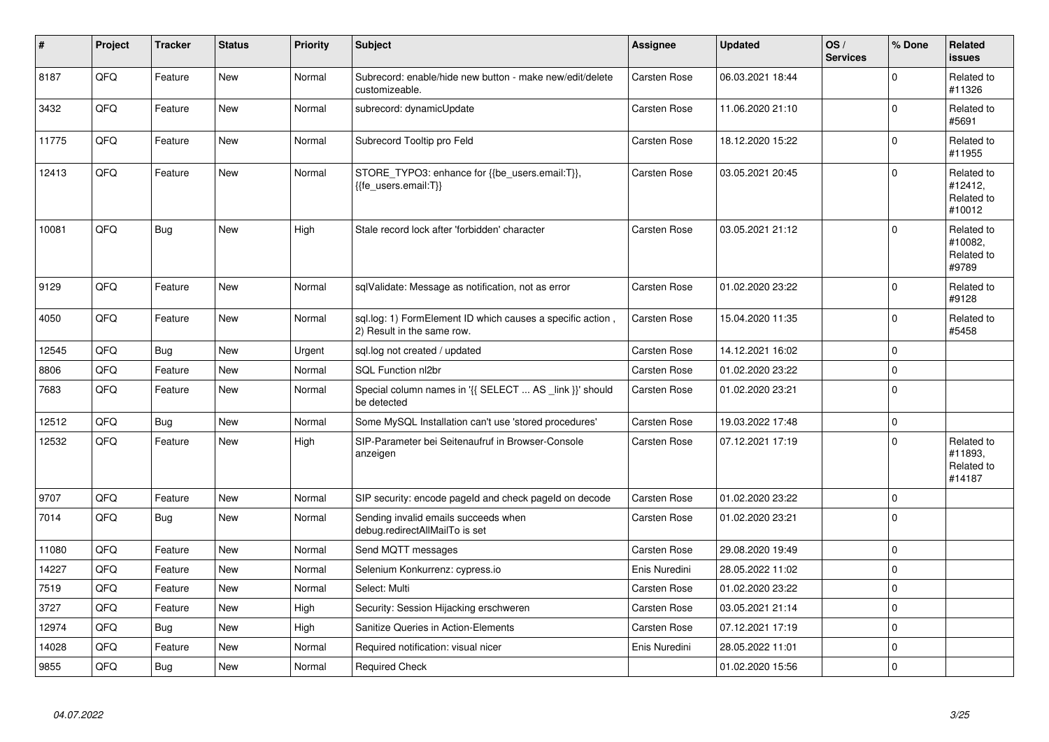| #     | Project | <b>Tracker</b> | <b>Status</b> | <b>Priority</b> | <b>Subject</b>                                                                           | <b>Assignee</b> | <b>Updated</b>   | OS/<br><b>Services</b> | % Done       | Related<br><b>issues</b>                      |
|-------|---------|----------------|---------------|-----------------|------------------------------------------------------------------------------------------|-----------------|------------------|------------------------|--------------|-----------------------------------------------|
| 8187  | QFQ     | Feature        | <b>New</b>    | Normal          | Subrecord: enable/hide new button - make new/edit/delete<br>customizeable.               | Carsten Rose    | 06.03.2021 18:44 |                        | $\Omega$     | Related to<br>#11326                          |
| 3432  | QFQ     | Feature        | <b>New</b>    | Normal          | subrecord: dynamicUpdate                                                                 | Carsten Rose    | 11.06.2020 21:10 |                        | $\mathbf 0$  | Related to<br>#5691                           |
| 11775 | QFQ     | Feature        | <b>New</b>    | Normal          | Subrecord Tooltip pro Feld                                                               | Carsten Rose    | 18.12.2020 15:22 |                        | $\mathbf 0$  | Related to<br>#11955                          |
| 12413 | QFQ     | Feature        | <b>New</b>    | Normal          | STORE_TYPO3: enhance for {{be_users.email:T}},<br>{{fe users.email:T}}                   | Carsten Rose    | 03.05.2021 20:45 |                        | $\Omega$     | Related to<br>#12412,<br>Related to<br>#10012 |
| 10081 | QFQ     | Bug            | <b>New</b>    | High            | Stale record lock after 'forbidden' character                                            | Carsten Rose    | 03.05.2021 21:12 |                        | $\mathbf{0}$ | Related to<br>#10082,<br>Related to<br>#9789  |
| 9129  | QFQ     | Feature        | <b>New</b>    | Normal          | sqlValidate: Message as notification, not as error                                       | Carsten Rose    | 01.02.2020 23:22 |                        | $\mathbf 0$  | Related to<br>#9128                           |
| 4050  | QFQ     | Feature        | New           | Normal          | sql.log: 1) FormElement ID which causes a specific action,<br>2) Result in the same row. | Carsten Rose    | 15.04.2020 11:35 |                        | $\mathbf 0$  | Related to<br>#5458                           |
| 12545 | QFQ     | Bug            | <b>New</b>    | Urgent          | sql.log not created / updated                                                            | Carsten Rose    | 14.12.2021 16:02 |                        | $\pmb{0}$    |                                               |
| 8806  | QFQ     | Feature        | New           | Normal          | SQL Function nl2br                                                                       | Carsten Rose    | 01.02.2020 23:22 |                        | $\pmb{0}$    |                                               |
| 7683  | QFQ     | Feature        | <b>New</b>    | Normal          | Special column names in '{{ SELECT  AS _link }}' should<br>be detected                   | Carsten Rose    | 01.02.2020 23:21 |                        | $\mathbf 0$  |                                               |
| 12512 | QFQ     | <b>Bug</b>     | <b>New</b>    | Normal          | Some MySQL Installation can't use 'stored procedures'                                    | Carsten Rose    | 19.03.2022 17:48 |                        | $\mathbf 0$  |                                               |
| 12532 | QFQ     | Feature        | New           | High            | SIP-Parameter bei Seitenaufruf in Browser-Console<br>anzeigen                            | Carsten Rose    | 07.12.2021 17:19 |                        | $\mathbf 0$  | Related to<br>#11893.<br>Related to<br>#14187 |
| 9707  | QFQ     | Feature        | <b>New</b>    | Normal          | SIP security: encode pageld and check pageld on decode                                   | Carsten Rose    | 01.02.2020 23:22 |                        | $\pmb{0}$    |                                               |
| 7014  | QFQ     | Bug            | New           | Normal          | Sending invalid emails succeeds when<br>debug.redirectAllMailTo is set                   | Carsten Rose    | 01.02.2020 23:21 |                        | $\mathbf 0$  |                                               |
| 11080 | QFQ     | Feature        | <b>New</b>    | Normal          | Send MQTT messages                                                                       | Carsten Rose    | 29.08.2020 19:49 |                        | $\mathbf 0$  |                                               |
| 14227 | QFQ     | Feature        | New           | Normal          | Selenium Konkurrenz: cypress.io                                                          | Enis Nuredini   | 28.05.2022 11:02 |                        | $\mathbf 0$  |                                               |
| 7519  | QFQ     | Feature        | <b>New</b>    | Normal          | Select: Multi                                                                            | Carsten Rose    | 01.02.2020 23:22 |                        | $\pmb{0}$    |                                               |
| 3727  | QFQ     | Feature        | <b>New</b>    | High            | Security: Session Hijacking erschweren                                                   | Carsten Rose    | 03.05.2021 21:14 |                        | $\mathbf 0$  |                                               |
| 12974 | QFQ     | <b>Bug</b>     | <b>New</b>    | High            | <b>Sanitize Queries in Action-Elements</b>                                               | Carsten Rose    | 07.12.2021 17:19 |                        | $\pmb{0}$    |                                               |
| 14028 | QFQ     | Feature        | <b>New</b>    | Normal          | Required notification: visual nicer                                                      | Enis Nuredini   | 28.05.2022 11:01 |                        | 0            |                                               |
| 9855  | QFQ     | <b>Bug</b>     | <b>New</b>    | Normal          | <b>Required Check</b>                                                                    |                 | 01.02.2020 15:56 |                        | $\mathbf 0$  |                                               |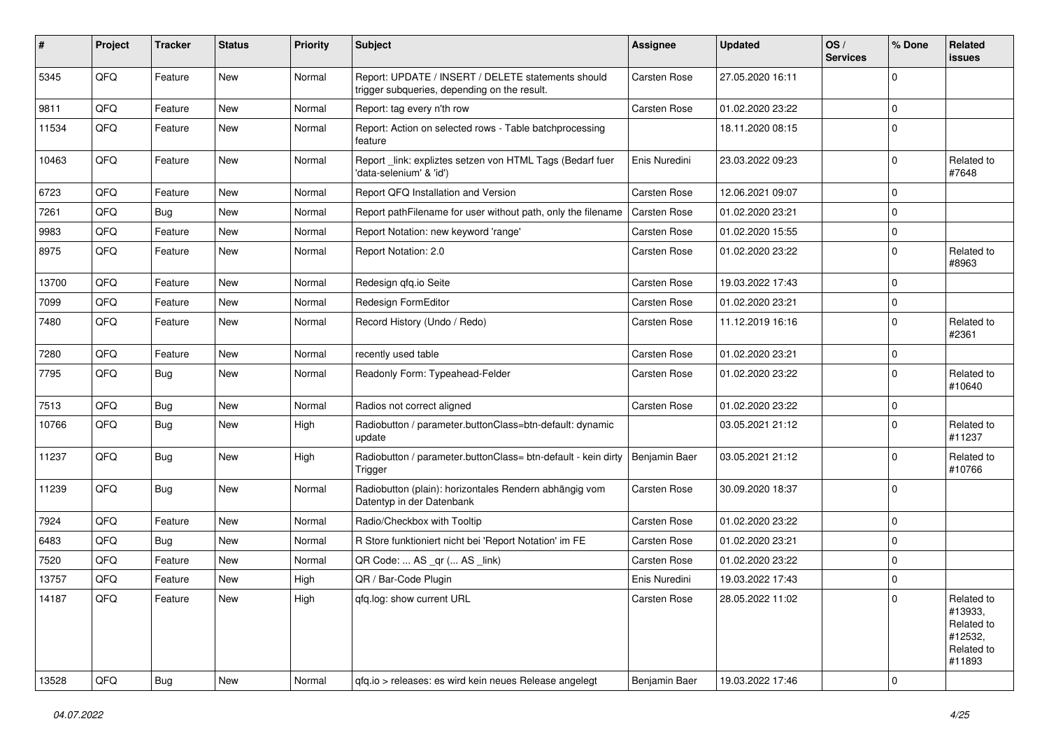| #     | Project | <b>Tracker</b> | <b>Status</b> | <b>Priority</b> | Subject                                                                                            | <b>Assignee</b> | <b>Updated</b>   | OS/<br><b>Services</b> | % Done      | <b>Related</b><br><b>issues</b>                                        |
|-------|---------|----------------|---------------|-----------------|----------------------------------------------------------------------------------------------------|-----------------|------------------|------------------------|-------------|------------------------------------------------------------------------|
| 5345  | QFQ     | Feature        | <b>New</b>    | Normal          | Report: UPDATE / INSERT / DELETE statements should<br>trigger subqueries, depending on the result. | Carsten Rose    | 27.05.2020 16:11 |                        | $\Omega$    |                                                                        |
| 9811  | QFQ     | Feature        | <b>New</b>    | Normal          | Report: tag every n'th row                                                                         | Carsten Rose    | 01.02.2020 23:22 |                        | 0           |                                                                        |
| 11534 | QFQ     | Feature        | <b>New</b>    | Normal          | Report: Action on selected rows - Table batchprocessing<br>feature                                 |                 | 18.11.2020 08:15 |                        | 0           |                                                                        |
| 10463 | QFQ     | Feature        | <b>New</b>    | Normal          | Report _link: expliztes setzen von HTML Tags (Bedarf fuer<br>'data-selenium' & 'id')               | Enis Nuredini   | 23.03.2022 09:23 |                        | $\Omega$    | Related to<br>#7648                                                    |
| 6723  | QFQ     | Feature        | <b>New</b>    | Normal          | Report QFQ Installation and Version                                                                | Carsten Rose    | 12.06.2021 09:07 |                        | 0           |                                                                        |
| 7261  | QFQ     | Bug            | <b>New</b>    | Normal          | Report pathFilename for user without path, only the filename                                       | Carsten Rose    | 01.02.2020 23:21 |                        | $\mathbf 0$ |                                                                        |
| 9983  | QFQ     | Feature        | <b>New</b>    | Normal          | Report Notation: new keyword 'range'                                                               | Carsten Rose    | 01.02.2020 15:55 |                        | $\Omega$    |                                                                        |
| 8975  | QFQ     | Feature        | New           | Normal          | Report Notation: 2.0                                                                               | Carsten Rose    | 01.02.2020 23:22 |                        | 0           | Related to<br>#8963                                                    |
| 13700 | QFQ     | Feature        | New           | Normal          | Redesign qfq.io Seite                                                                              | Carsten Rose    | 19.03.2022 17:43 |                        | 0           |                                                                        |
| 7099  | QFQ     | Feature        | New           | Normal          | Redesign FormEditor                                                                                | Carsten Rose    | 01.02.2020 23:21 |                        | $\mathbf 0$ |                                                                        |
| 7480  | QFQ     | Feature        | New           | Normal          | Record History (Undo / Redo)                                                                       | Carsten Rose    | 11.12.2019 16:16 |                        | 0           | Related to<br>#2361                                                    |
| 7280  | QFQ     | Feature        | <b>New</b>    | Normal          | recently used table                                                                                | Carsten Rose    | 01.02.2020 23:21 |                        | 0           |                                                                        |
| 7795  | QFQ     | Bug            | <b>New</b>    | Normal          | Readonly Form: Typeahead-Felder                                                                    | Carsten Rose    | 01.02.2020 23:22 |                        | $\mathbf 0$ | Related to<br>#10640                                                   |
| 7513  | QFQ     | Bug            | <b>New</b>    | Normal          | Radios not correct aligned                                                                         | Carsten Rose    | 01.02.2020 23:22 |                        | $\mathbf 0$ |                                                                        |
| 10766 | QFQ     | Bug            | <b>New</b>    | High            | Radiobutton / parameter.buttonClass=btn-default: dynamic<br>update                                 |                 | 03.05.2021 21:12 |                        | 0           | Related to<br>#11237                                                   |
| 11237 | QFQ     | Bug            | New           | High            | Radiobutton / parameter.buttonClass= btn-default - kein dirty<br>Trigger                           | Benjamin Baer   | 03.05.2021 21:12 |                        | 0           | Related to<br>#10766                                                   |
| 11239 | QFQ     | Bug            | <b>New</b>    | Normal          | Radiobutton (plain): horizontales Rendern abhängig vom<br>Datentyp in der Datenbank                | Carsten Rose    | 30.09.2020 18:37 |                        | $\Omega$    |                                                                        |
| 7924  | QFQ     | Feature        | New           | Normal          | Radio/Checkbox with Tooltip                                                                        | Carsten Rose    | 01.02.2020 23:22 |                        | 0           |                                                                        |
| 6483  | QFQ     | Bug            | <b>New</b>    | Normal          | R Store funktioniert nicht bei 'Report Notation' im FE                                             | Carsten Rose    | 01.02.2020 23:21 |                        | $\mathbf 0$ |                                                                        |
| 7520  | QFQ     | Feature        | New           | Normal          | QR Code:  AS _qr ( AS _link)                                                                       | Carsten Rose    | 01.02.2020 23:22 |                        | 0           |                                                                        |
| 13757 | QFQ     | Feature        | New           | High            | QR / Bar-Code Plugin                                                                               | Enis Nuredini   | 19.03.2022 17:43 |                        | 0           |                                                                        |
| 14187 | QFQ     | Feature        | New           | High            | gfg.log: show current URL                                                                          | Carsten Rose    | 28.05.2022 11:02 |                        | 0           | Related to<br>#13933,<br>Related to<br>#12532,<br>Related to<br>#11893 |
| 13528 | QFQ     | Bug            | New           | Normal          | qfq.io > releases: es wird kein neues Release angelegt                                             | Benjamin Baer   | 19.03.2022 17:46 |                        | 0           |                                                                        |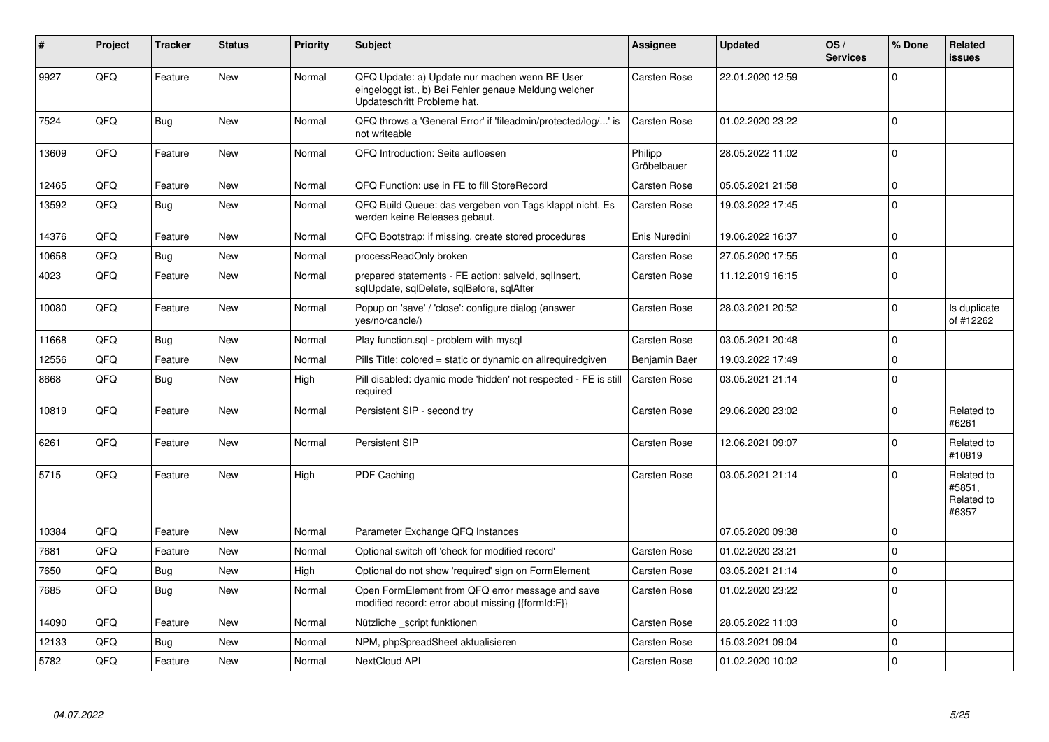| $\sharp$ | Project | <b>Tracker</b> | <b>Status</b> | <b>Priority</b> | <b>Subject</b>                                                                                                                        | <b>Assignee</b>        | <b>Updated</b>   | OS/<br><b>Services</b> | % Done      | Related<br><b>issues</b>                    |
|----------|---------|----------------|---------------|-----------------|---------------------------------------------------------------------------------------------------------------------------------------|------------------------|------------------|------------------------|-------------|---------------------------------------------|
| 9927     | QFQ     | Feature        | <b>New</b>    | Normal          | QFQ Update: a) Update nur machen wenn BE User<br>eingeloggt ist., b) Bei Fehler genaue Meldung welcher<br>Updateschritt Probleme hat. | Carsten Rose           | 22.01.2020 12:59 |                        | $\Omega$    |                                             |
| 7524     | QFQ     | <b>Bug</b>     | <b>New</b>    | Normal          | QFQ throws a 'General Error' if 'fileadmin/protected/log/' is<br>not writeable                                                        | Carsten Rose           | 01.02.2020 23:22 |                        | $\Omega$    |                                             |
| 13609    | QFQ     | Feature        | <b>New</b>    | Normal          | QFQ Introduction: Seite aufloesen                                                                                                     | Philipp<br>Gröbelbauer | 28.05.2022 11:02 |                        | $\mathbf 0$ |                                             |
| 12465    | QFQ     | Feature        | <b>New</b>    | Normal          | QFQ Function: use in FE to fill StoreRecord                                                                                           | Carsten Rose           | 05.05.2021 21:58 |                        | $\pmb{0}$   |                                             |
| 13592    | QFQ     | Bug            | <b>New</b>    | Normal          | QFQ Build Queue: das vergeben von Tags klappt nicht. Es<br>werden keine Releases gebaut.                                              | Carsten Rose           | 19.03.2022 17:45 |                        | $\mathbf 0$ |                                             |
| 14376    | QFQ     | Feature        | <b>New</b>    | Normal          | QFQ Bootstrap: if missing, create stored procedures                                                                                   | Enis Nuredini          | 19.06.2022 16:37 |                        | $\mathbf 0$ |                                             |
| 10658    | QFQ     | Bug            | <b>New</b>    | Normal          | processReadOnly broken                                                                                                                | <b>Carsten Rose</b>    | 27.05.2020 17:55 |                        | $\mathbf 0$ |                                             |
| 4023     | QFQ     | Feature        | New           | Normal          | prepared statements - FE action: salveld, sqllnsert,<br>sqlUpdate, sqlDelete, sqlBefore, sqlAfter                                     | Carsten Rose           | 11.12.2019 16:15 |                        | $\Omega$    |                                             |
| 10080    | QFQ     | Feature        | <b>New</b>    | Normal          | Popup on 'save' / 'close': configure dialog (answer<br>yes/no/cancle/)                                                                | <b>Carsten Rose</b>    | 28.03.2021 20:52 |                        | $\mathbf 0$ | Is duplicate<br>of #12262                   |
| 11668    | QFQ     | Bug            | <b>New</b>    | Normal          | Play function.sgl - problem with mysgl                                                                                                | Carsten Rose           | 03.05.2021 20:48 |                        | $\mathbf 0$ |                                             |
| 12556    | QFQ     | Feature        | <b>New</b>    | Normal          | Pills Title: colored = static or dynamic on allrequiredgiven                                                                          | Benjamin Baer          | 19.03.2022 17:49 |                        | $\pmb{0}$   |                                             |
| 8668     | QFQ     | <b>Bug</b>     | <b>New</b>    | High            | Pill disabled: dyamic mode 'hidden' not respected - FE is still<br>required                                                           | Carsten Rose           | 03.05.2021 21:14 |                        | $\mathbf 0$ |                                             |
| 10819    | QFQ     | Feature        | <b>New</b>    | Normal          | Persistent SIP - second try                                                                                                           | Carsten Rose           | 29.06.2020 23:02 |                        | $\Omega$    | Related to<br>#6261                         |
| 6261     | QFQ     | Feature        | <b>New</b>    | Normal          | Persistent SIP                                                                                                                        | Carsten Rose           | 12.06.2021 09:07 |                        | $\mathbf 0$ | Related to<br>#10819                        |
| 5715     | QFQ     | Feature        | <b>New</b>    | High            | <b>PDF Caching</b>                                                                                                                    | Carsten Rose           | 03.05.2021 21:14 |                        | $\mathbf 0$ | Related to<br>#5851,<br>Related to<br>#6357 |
| 10384    | QFQ     | Feature        | <b>New</b>    | Normal          | Parameter Exchange QFQ Instances                                                                                                      |                        | 07.05.2020 09:38 |                        | $\mathbf 0$ |                                             |
| 7681     | QFQ     | Feature        | <b>New</b>    | Normal          | Optional switch off 'check for modified record'                                                                                       | <b>Carsten Rose</b>    | 01.02.2020 23:21 |                        | $\mathbf 0$ |                                             |
| 7650     | QFQ     | <b>Bug</b>     | <b>New</b>    | High            | Optional do not show 'required' sign on FormElement                                                                                   | <b>Carsten Rose</b>    | 03.05.2021 21:14 |                        | $\mathbf 0$ |                                             |
| 7685     | QFQ     | <b>Bug</b>     | <b>New</b>    | Normal          | Open FormElement from QFQ error message and save<br>modified record: error about missing {{formId:F}}                                 | Carsten Rose           | 01.02.2020 23:22 |                        | $\Omega$    |                                             |
| 14090    | QFQ     | Feature        | <b>New</b>    | Normal          | Nützliche script funktionen                                                                                                           | <b>Carsten Rose</b>    | 28.05.2022 11:03 |                        | $\mathbf 0$ |                                             |
| 12133    | QFQ     | Bug            | <b>New</b>    | Normal          | NPM, phpSpreadSheet aktualisieren                                                                                                     | Carsten Rose           | 15.03.2021 09:04 |                        | $\mathbf 0$ |                                             |
| 5782     | QFQ     | Feature        | <b>New</b>    | Normal          | NextCloud API                                                                                                                         | Carsten Rose           | 01.02.2020 10:02 |                        | $\mathbf 0$ |                                             |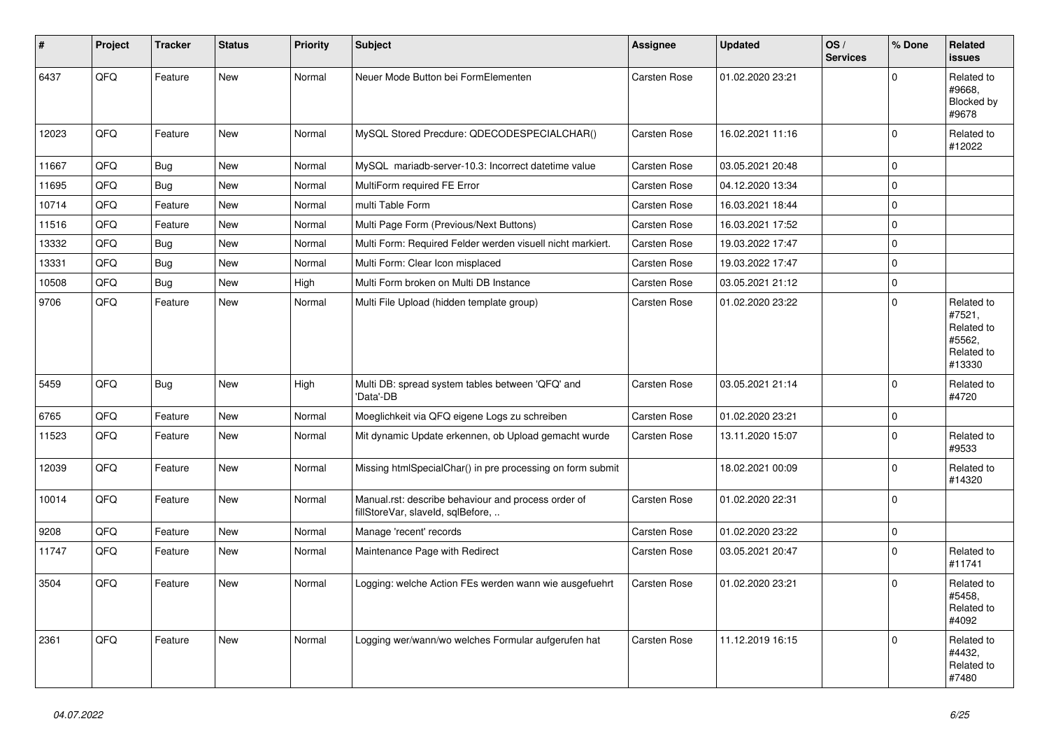| #     | Project | <b>Tracker</b> | <b>Status</b> | <b>Priority</b> | <b>Subject</b>                                                                           | <b>Assignee</b> | <b>Updated</b>   | OS/<br><b>Services</b> | % Done       | Related<br><b>issues</b>                                             |
|-------|---------|----------------|---------------|-----------------|------------------------------------------------------------------------------------------|-----------------|------------------|------------------------|--------------|----------------------------------------------------------------------|
| 6437  | QFQ     | Feature        | <b>New</b>    | Normal          | Neuer Mode Button bei FormElementen                                                      | Carsten Rose    | 01.02.2020 23:21 |                        | $\Omega$     | Related to<br>#9668.<br>Blocked by<br>#9678                          |
| 12023 | QFQ     | Feature        | <b>New</b>    | Normal          | MySQL Stored Precdure: QDECODESPECIALCHAR()                                              | Carsten Rose    | 16.02.2021 11:16 |                        | 0            | Related to<br>#12022                                                 |
| 11667 | QFQ     | Bug            | <b>New</b>    | Normal          | MySQL mariadb-server-10.3: Incorrect datetime value                                      | Carsten Rose    | 03.05.2021 20:48 |                        | 0            |                                                                      |
| 11695 | QFQ     | Bug            | New           | Normal          | MultiForm required FE Error                                                              | Carsten Rose    | 04.12.2020 13:34 |                        | 0            |                                                                      |
| 10714 | QFQ     | Feature        | <b>New</b>    | Normal          | multi Table Form                                                                         | Carsten Rose    | 16.03.2021 18:44 |                        | 0            |                                                                      |
| 11516 | QFQ     | Feature        | <b>New</b>    | Normal          | Multi Page Form (Previous/Next Buttons)                                                  | Carsten Rose    | 16.03.2021 17:52 |                        | $\Omega$     |                                                                      |
| 13332 | QFQ     | <b>Bug</b>     | <b>New</b>    | Normal          | Multi Form: Required Felder werden visuell nicht markiert.                               | Carsten Rose    | 19.03.2022 17:47 |                        | 0            |                                                                      |
| 13331 | QFQ     | <b>Bug</b>     | New           | Normal          | Multi Form: Clear Icon misplaced                                                         | Carsten Rose    | 19.03.2022 17:47 |                        | $\Omega$     |                                                                      |
| 10508 | QFQ     | <b>Bug</b>     | <b>New</b>    | High            | Multi Form broken on Multi DB Instance                                                   | Carsten Rose    | 03.05.2021 21:12 |                        | 0            |                                                                      |
| 9706  | QFQ     | Feature        | New           | Normal          | Multi File Upload (hidden template group)                                                | Carsten Rose    | 01.02.2020 23:22 |                        | $\Omega$     | Related to<br>#7521,<br>Related to<br>#5562,<br>Related to<br>#13330 |
| 5459  | QFQ     | Bug            | <b>New</b>    | High            | Multi DB: spread system tables between 'QFQ' and<br>'Data'-DB                            | Carsten Rose    | 03.05.2021 21:14 |                        | $\Omega$     | Related to<br>#4720                                                  |
| 6765  | QFQ     | Feature        | <b>New</b>    | Normal          | Moeglichkeit via QFQ eigene Logs zu schreiben                                            | Carsten Rose    | 01.02.2020 23:21 |                        | $\Omega$     |                                                                      |
| 11523 | QFQ     | Feature        | <b>New</b>    | Normal          | Mit dynamic Update erkennen, ob Upload gemacht wurde                                     | Carsten Rose    | 13.11.2020 15:07 |                        | $\Omega$     | Related to<br>#9533                                                  |
| 12039 | QFQ     | Feature        | New           | Normal          | Missing htmlSpecialChar() in pre processing on form submit                               |                 | 18.02.2021 00:09 |                        | $\Omega$     | Related to<br>#14320                                                 |
| 10014 | QFQ     | Feature        | <b>New</b>    | Normal          | Manual.rst: describe behaviour and process order of<br>fillStoreVar, slaveId, sqlBefore, | Carsten Rose    | 01.02.2020 22:31 |                        | $\Omega$     |                                                                      |
| 9208  | QFQ     | Feature        | <b>New</b>    | Normal          | Manage 'recent' records                                                                  | Carsten Rose    | 01.02.2020 23:22 |                        | $\Omega$     |                                                                      |
| 11747 | QFQ     | Feature        | New           | Normal          | Maintenance Page with Redirect                                                           | Carsten Rose    | 03.05.2021 20:47 |                        | $\Omega$     | Related to<br>#11741                                                 |
| 3504  | QFQ     | Feature        | New           | Normal          | Logging: welche Action FEs werden wann wie ausgefuehrt                                   | Carsten Rose    | 01.02.2020 23:21 |                        | <sup>0</sup> | Related to<br>#5458,<br>Related to<br>#4092                          |
| 2361  | QFQ     | Feature        | <b>New</b>    | Normal          | Logging wer/wann/wo welches Formular aufgerufen hat                                      | Carsten Rose    | 11.12.2019 16:15 |                        | $\Omega$     | Related to<br>#4432.<br>Related to<br>#7480                          |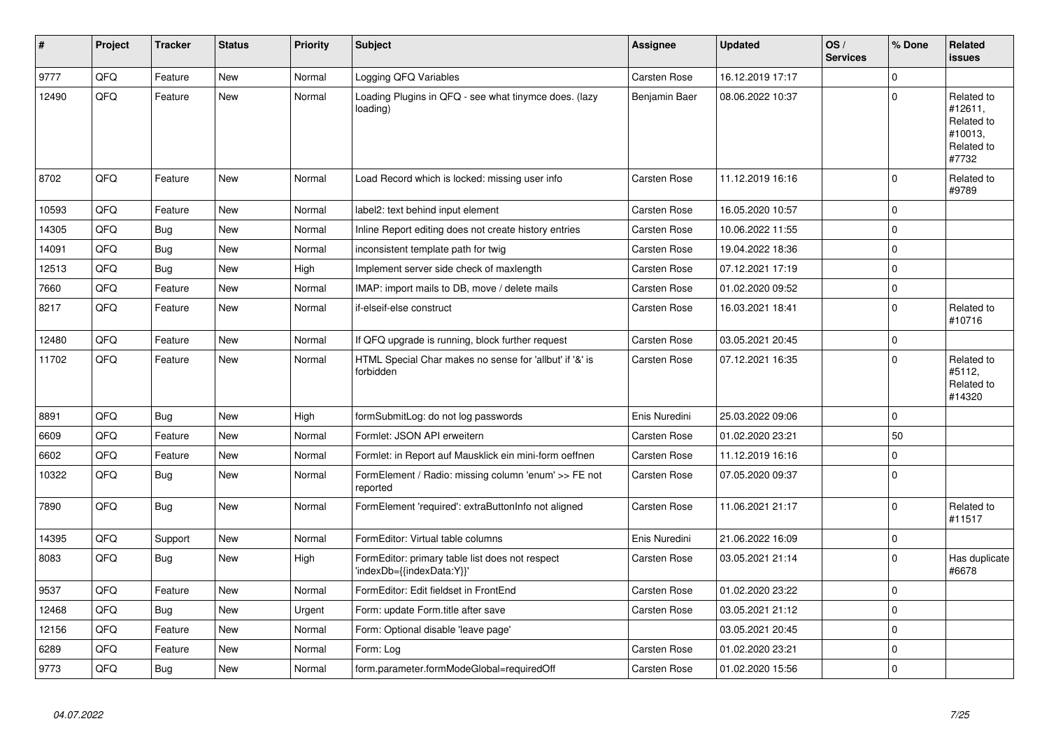| #     | Project | <b>Tracker</b> | <b>Status</b> | <b>Priority</b> | <b>Subject</b>                                                               | <b>Assignee</b> | <b>Updated</b>   | OS/<br><b>Services</b> | % Done    | Related<br><b>issues</b>                                              |
|-------|---------|----------------|---------------|-----------------|------------------------------------------------------------------------------|-----------------|------------------|------------------------|-----------|-----------------------------------------------------------------------|
| 9777  | QFQ     | Feature        | <b>New</b>    | Normal          | Logging QFQ Variables                                                        | Carsten Rose    | 16.12.2019 17:17 |                        | $\Omega$  |                                                                       |
| 12490 | QFQ     | Feature        | <b>New</b>    | Normal          | Loading Plugins in QFQ - see what tinymce does. (lazy<br>loading)            | Benjamin Baer   | 08.06.2022 10:37 |                        | $\Omega$  | Related to<br>#12611,<br>Related to<br>#10013,<br>Related to<br>#7732 |
| 8702  | QFQ     | Feature        | <b>New</b>    | Normal          | Load Record which is locked: missing user info                               | Carsten Rose    | 11.12.2019 16:16 |                        | $\Omega$  | Related to<br>#9789                                                   |
| 10593 | QFQ     | Feature        | <b>New</b>    | Normal          | label2: text behind input element                                            | Carsten Rose    | 16.05.2020 10:57 |                        | $\Omega$  |                                                                       |
| 14305 | QFQ     | <b>Bug</b>     | <b>New</b>    | Normal          | Inline Report editing does not create history entries                        | Carsten Rose    | 10.06.2022 11:55 |                        | $\Omega$  |                                                                       |
| 14091 | QFQ     | <b>Bug</b>     | New           | Normal          | inconsistent template path for twig                                          | Carsten Rose    | 19.04.2022 18:36 |                        | $\Omega$  |                                                                       |
| 12513 | QFQ     | <b>Bug</b>     | <b>New</b>    | High            | Implement server side check of maxlength                                     | Carsten Rose    | 07.12.2021 17:19 |                        | $\Omega$  |                                                                       |
| 7660  | QFQ     | Feature        | New           | Normal          | IMAP: import mails to DB, move / delete mails                                | Carsten Rose    | 01.02.2020 09:52 |                        | 0         |                                                                       |
| 8217  | QFQ     | Feature        | New           | Normal          | if-elseif-else construct                                                     | Carsten Rose    | 16.03.2021 18:41 |                        | $\Omega$  | Related to<br>#10716                                                  |
| 12480 | QFQ     | Feature        | <b>New</b>    | Normal          | If QFQ upgrade is running, block further request                             | Carsten Rose    | 03.05.2021 20:45 |                        | $\Omega$  |                                                                       |
| 11702 | QFQ     | Feature        | New           | Normal          | HTML Special Char makes no sense for 'allbut' if '&' is<br>forbidden         | Carsten Rose    | 07.12.2021 16:35 |                        | $\Omega$  | Related to<br>#5112,<br>Related to<br>#14320                          |
| 8891  | QFQ     | <b>Bug</b>     | <b>New</b>    | High            | formSubmitLog: do not log passwords                                          | Enis Nuredini   | 25.03.2022 09:06 |                        | $\Omega$  |                                                                       |
| 6609  | QFQ     | Feature        | <b>New</b>    | Normal          | Formlet: JSON API erweitern                                                  | Carsten Rose    | 01.02.2020 23:21 |                        | 50        |                                                                       |
| 6602  | QFQ     | Feature        | <b>New</b>    | Normal          | Formlet: in Report auf Mausklick ein mini-form oeffnen                       | Carsten Rose    | 11.12.2019 16:16 |                        | $\Omega$  |                                                                       |
| 10322 | QFQ     | Bug            | New           | Normal          | FormElement / Radio: missing column 'enum' >> FE not<br>reported             | Carsten Rose    | 07.05.2020 09:37 |                        | $\Omega$  |                                                                       |
| 7890  | QFQ     | Bug            | <b>New</b>    | Normal          | FormElement 'required': extraButtonInfo not aligned                          | Carsten Rose    | 11.06.2021 21:17 |                        | $\Omega$  | Related to<br>#11517                                                  |
| 14395 | QFQ     | Support        | <b>New</b>    | Normal          | FormEditor: Virtual table columns                                            | Enis Nuredini   | 21.06.2022 16:09 |                        | $\pmb{0}$ |                                                                       |
| 8083  | QFQ     | Bug            | <b>New</b>    | High            | FormEditor: primary table list does not respect<br>'indexDb={{indexData:Y}}' | Carsten Rose    | 03.05.2021 21:14 |                        | $\Omega$  | Has duplicate<br>#6678                                                |
| 9537  | QFQ     | Feature        | <b>New</b>    | Normal          | FormEditor: Edit fieldset in FrontEnd                                        | Carsten Rose    | 01.02.2020 23:22 |                        | $\Omega$  |                                                                       |
| 12468 | QFQ     | <b>Bug</b>     | <b>New</b>    | Urgent          | Form: update Form.title after save                                           | Carsten Rose    | 03.05.2021 21:12 |                        | $\Omega$  |                                                                       |
| 12156 | QFQ     | Feature        | New           | Normal          | Form: Optional disable 'leave page'                                          |                 | 03.05.2021 20:45 |                        | $\Omega$  |                                                                       |
| 6289  | QFQ     | Feature        | <b>New</b>    | Normal          | Form: Log                                                                    | Carsten Rose    | 01.02.2020 23:21 |                        | $\Omega$  |                                                                       |
| 9773  | QFQ     | Bug            | New           | Normal          | form.parameter.formModeGlobal=requiredOff                                    | Carsten Rose    | 01.02.2020 15:56 |                        | $\Omega$  |                                                                       |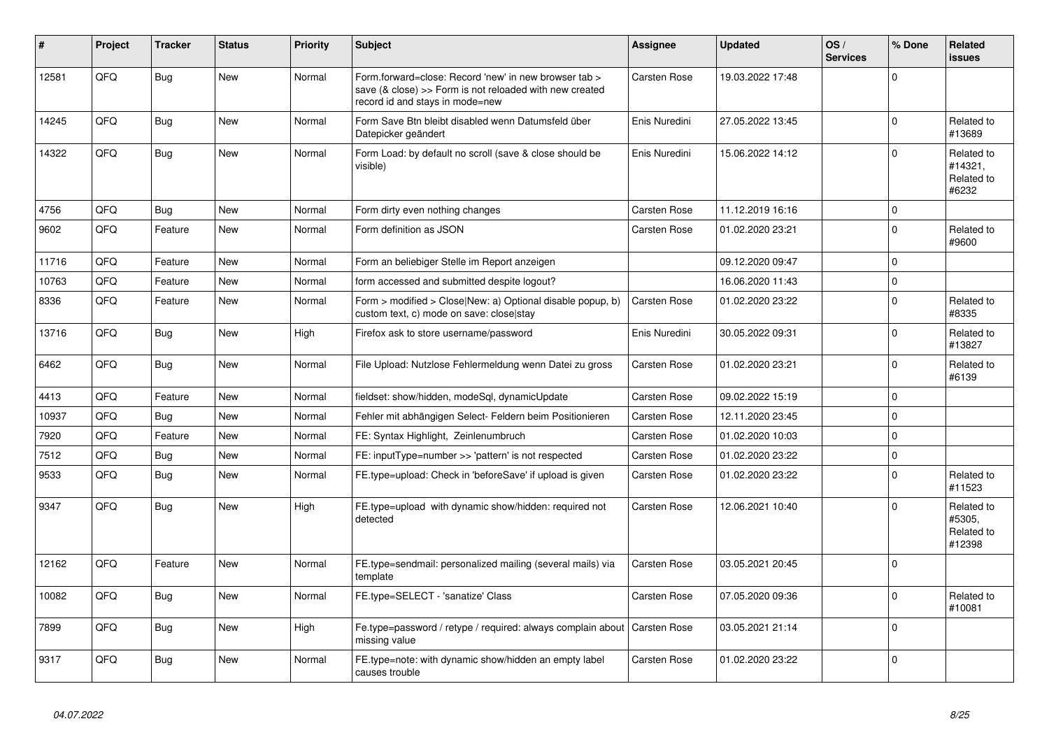| #     | Project | <b>Tracker</b> | <b>Status</b> | <b>Priority</b> | <b>Subject</b>                                                                                                                                      | Assignee            | <b>Updated</b>   | OS/<br><b>Services</b> | % Done      | <b>Related</b><br>issues                     |
|-------|---------|----------------|---------------|-----------------|-----------------------------------------------------------------------------------------------------------------------------------------------------|---------------------|------------------|------------------------|-------------|----------------------------------------------|
| 12581 | QFQ     | Bug            | <b>New</b>    | Normal          | Form.forward=close: Record 'new' in new browser tab ><br>save (& close) >> Form is not reloaded with new created<br>record id and stays in mode=new | Carsten Rose        | 19.03.2022 17:48 |                        | $\mathbf 0$ |                                              |
| 14245 | QFQ     | <b>Bug</b>     | New           | Normal          | Form Save Btn bleibt disabled wenn Datumsfeld über<br>Datepicker geändert                                                                           | Enis Nuredini       | 27.05.2022 13:45 |                        | $\Omega$    | Related to<br>#13689                         |
| 14322 | QFQ     | <b>Bug</b>     | New           | Normal          | Form Load: by default no scroll (save & close should be<br>visible)                                                                                 | Enis Nuredini       | 15.06.2022 14:12 |                        | $\Omega$    | Related to<br>#14321.<br>Related to<br>#6232 |
| 4756  | QFQ     | <b>Bug</b>     | New           | Normal          | Form dirty even nothing changes                                                                                                                     | Carsten Rose        | 11.12.2019 16:16 |                        | $\mathbf 0$ |                                              |
| 9602  | QFQ     | Feature        | New           | Normal          | Form definition as JSON                                                                                                                             | Carsten Rose        | 01.02.2020 23:21 |                        | $\mathbf 0$ | Related to<br>#9600                          |
| 11716 | QFQ     | Feature        | New           | Normal          | Form an beliebiger Stelle im Report anzeigen                                                                                                        |                     | 09.12.2020 09:47 |                        | $\mathbf 0$ |                                              |
| 10763 | QFQ     | Feature        | New           | Normal          | form accessed and submitted despite logout?                                                                                                         |                     | 16.06.2020 11:43 |                        | $\pmb{0}$   |                                              |
| 8336  | QFQ     | Feature        | <b>New</b>    | Normal          | Form > modified > Close New: a) Optional disable popup, b)<br>custom text, c) mode on save: close stay                                              | Carsten Rose        | 01.02.2020 23:22 |                        | $\mathbf 0$ | Related to<br>#8335                          |
| 13716 | QFQ     | Bug            | New           | High            | Firefox ask to store username/password                                                                                                              | Enis Nuredini       | 30.05.2022 09:31 |                        | $\mathbf 0$ | Related to<br>#13827                         |
| 6462  | QFQ     | <b>Bug</b>     | <b>New</b>    | Normal          | File Upload: Nutzlose Fehlermeldung wenn Datei zu gross                                                                                             | Carsten Rose        | 01.02.2020 23:21 |                        | $\Omega$    | Related to<br>#6139                          |
| 4413  | QFQ     | Feature        | New           | Normal          | fieldset: show/hidden, modeSql, dynamicUpdate                                                                                                       | <b>Carsten Rose</b> | 09.02.2022 15:19 |                        | $\pmb{0}$   |                                              |
| 10937 | QFQ     | <b>Bug</b>     | New           | Normal          | Fehler mit abhängigen Select- Feldern beim Positionieren                                                                                            | Carsten Rose        | 12.11.2020 23:45 |                        | $\pmb{0}$   |                                              |
| 7920  | QFQ     | Feature        | <b>New</b>    | Normal          | FE: Syntax Highlight, Zeinlenumbruch                                                                                                                | Carsten Rose        | 01.02.2020 10:03 |                        | $\mathbf 0$ |                                              |
| 7512  | QFQ     | Bug            | New           | Normal          | FE: inputType=number >> 'pattern' is not respected                                                                                                  | Carsten Rose        | 01.02.2020 23:22 |                        | $\mathbf 0$ |                                              |
| 9533  | QFQ     | <b>Bug</b>     | New           | Normal          | FE.type=upload: Check in 'beforeSave' if upload is given                                                                                            | Carsten Rose        | 01.02.2020 23:22 |                        | $\pmb{0}$   | Related to<br>#11523                         |
| 9347  | QFQ     | Bug            | <b>New</b>    | High            | FE.type=upload with dynamic show/hidden: required not<br>detected                                                                                   | Carsten Rose        | 12.06.2021 10:40 |                        | $\mathbf 0$ | Related to<br>#5305,<br>Related to<br>#12398 |
| 12162 | QFQ     | Feature        | New           | Normal          | FE.type=sendmail: personalized mailing (several mails) via<br>template                                                                              | Carsten Rose        | 03.05.2021 20:45 |                        | $\mathbf 0$ |                                              |
| 10082 | QFQ     | Bug            | New           | Normal          | FE.type=SELECT - 'sanatize' Class                                                                                                                   | Carsten Rose        | 07.05.2020 09:36 |                        | $\mathbf 0$ | Related to<br>#10081                         |
| 7899  | QFQ     | <b>Bug</b>     | New           | High            | Fe.type=password / retype / required: always complain about<br>missing value                                                                        | Carsten Rose        | 03.05.2021 21:14 |                        | $\mathbf 0$ |                                              |
| 9317  | QFQ     | Bug            | New           | Normal          | FE.type=note: with dynamic show/hidden an empty label<br>causes trouble                                                                             | Carsten Rose        | 01.02.2020 23:22 |                        | $\mathbf 0$ |                                              |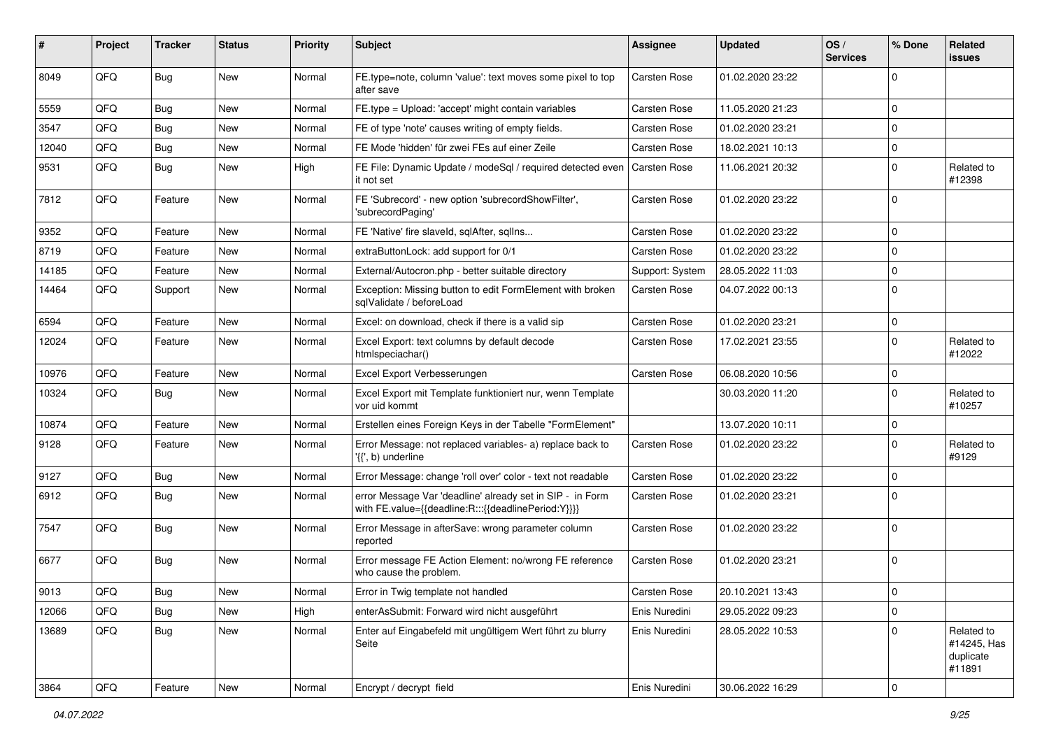| ∦     | Project | <b>Tracker</b> | <b>Status</b> | <b>Priority</b> | <b>Subject</b>                                                                                                   | Assignee        | <b>Updated</b>   | OS/<br><b>Services</b> | % Done      | Related<br>issues                                |
|-------|---------|----------------|---------------|-----------------|------------------------------------------------------------------------------------------------------------------|-----------------|------------------|------------------------|-------------|--------------------------------------------------|
| 8049  | QFQ     | <b>Bug</b>     | <b>New</b>    | Normal          | FE.type=note, column 'value': text moves some pixel to top<br>after save                                         | Carsten Rose    | 01.02.2020 23:22 |                        | $\Omega$    |                                                  |
| 5559  | QFQ     | Bug            | <b>New</b>    | Normal          | FE.type = Upload: 'accept' might contain variables                                                               | Carsten Rose    | 11.05.2020 21:23 |                        | $\Omega$    |                                                  |
| 3547  | QFQ     | Bug            | New           | Normal          | FE of type 'note' causes writing of empty fields.                                                                | Carsten Rose    | 01.02.2020 23:21 |                        | $\mathbf 0$ |                                                  |
| 12040 | QFQ     | Bug            | <b>New</b>    | Normal          | FE Mode 'hidden' für zwei FEs auf einer Zeile                                                                    | Carsten Rose    | 18.02.2021 10:13 |                        | $\mathbf 0$ |                                                  |
| 9531  | QFQ     | <b>Bug</b>     | <b>New</b>    | High            | FE File: Dynamic Update / modeSql / required detected even<br>it not set                                         | Carsten Rose    | 11.06.2021 20:32 |                        | $\mathbf 0$ | Related to<br>#12398                             |
| 7812  | QFQ     | Feature        | <b>New</b>    | Normal          | FE 'Subrecord' - new option 'subrecordShowFilter',<br>'subrecordPaging'                                          | Carsten Rose    | 01.02.2020 23:22 |                        | $\Omega$    |                                                  |
| 9352  | QFQ     | Feature        | New           | Normal          | FE 'Native' fire slaveld, sqlAfter, sqlIns                                                                       | Carsten Rose    | 01.02.2020 23:22 |                        | $\mathbf 0$ |                                                  |
| 8719  | QFQ     | Feature        | <b>New</b>    | Normal          | extraButtonLock: add support for 0/1                                                                             | Carsten Rose    | 01.02.2020 23:22 |                        | $\Omega$    |                                                  |
| 14185 | QFQ     | Feature        | <b>New</b>    | Normal          | External/Autocron.php - better suitable directory                                                                | Support: System | 28.05.2022 11:03 |                        | $\mathbf 0$ |                                                  |
| 14464 | QFQ     | Support        | New           | Normal          | Exception: Missing button to edit FormElement with broken<br>sqlValidate / beforeLoad                            | Carsten Rose    | 04.07.2022 00:13 |                        | $\Omega$    |                                                  |
| 6594  | QFQ     | Feature        | New           | Normal          | Excel: on download, check if there is a valid sip                                                                | Carsten Rose    | 01.02.2020 23:21 |                        | $\mathbf 0$ |                                                  |
| 12024 | QFQ     | Feature        | <b>New</b>    | Normal          | Excel Export: text columns by default decode<br>htmlspeciachar()                                                 | Carsten Rose    | 17.02.2021 23:55 |                        | $\Omega$    | Related to<br>#12022                             |
| 10976 | QFQ     | Feature        | <b>New</b>    | Normal          | Excel Export Verbesserungen                                                                                      | Carsten Rose    | 06.08.2020 10:56 |                        | $\mathbf 0$ |                                                  |
| 10324 | QFQ     | Bug            | <b>New</b>    | Normal          | Excel Export mit Template funktioniert nur, wenn Template<br>vor uid kommt                                       |                 | 30.03.2020 11:20 |                        | $\Omega$    | Related to<br>#10257                             |
| 10874 | QFQ     | Feature        | <b>New</b>    | Normal          | Erstellen eines Foreign Keys in der Tabelle "FormElement"                                                        |                 | 13.07.2020 10:11 |                        | 0           |                                                  |
| 9128  | QFQ     | Feature        | <b>New</b>    | Normal          | Error Message: not replaced variables- a) replace back to<br>'{{', b) underline                                  | Carsten Rose    | 01.02.2020 23:22 |                        | $\Omega$    | Related to<br>#9129                              |
| 9127  | QFQ     | <b>Bug</b>     | <b>New</b>    | Normal          | Error Message: change 'roll over' color - text not readable                                                      | Carsten Rose    | 01.02.2020 23:22 |                        | $\mathbf 0$ |                                                  |
| 6912  | QFQ     | <b>Bug</b>     | <b>New</b>    | Normal          | error Message Var 'deadline' already set in SIP - in Form<br>with FE.value={{deadline:R:::{{deadlinePeriod:Y}}}} | Carsten Rose    | 01.02.2020 23:21 |                        | $\mathbf 0$ |                                                  |
| 7547  | QFQ     | Bug            | <b>New</b>    | Normal          | Error Message in afterSave: wrong parameter column<br>reported                                                   | Carsten Rose    | 01.02.2020 23:22 |                        | $\mathbf 0$ |                                                  |
| 6677  | QFQ     | <b>Bug</b>     | <b>New</b>    | Normal          | Error message FE Action Element: no/wrong FE reference<br>who cause the problem.                                 | Carsten Rose    | 01.02.2020 23:21 |                        | $\Omega$    |                                                  |
| 9013  | QFQ     | Bug            | New           | Normal          | Error in Twig template not handled                                                                               | Carsten Rose    | 20.10.2021 13:43 |                        | $\mathsf 0$ |                                                  |
| 12066 | QFQ     | Bug            | New           | High            | enterAsSubmit: Forward wird nicht ausgeführt                                                                     | Enis Nuredini   | 29.05.2022 09:23 |                        | $\mathbf 0$ |                                                  |
| 13689 | QFQ     | <b>Bug</b>     | New           | Normal          | Enter auf Eingabefeld mit ungültigem Wert führt zu blurry<br>Seite                                               | Enis Nuredini   | 28.05.2022 10:53 |                        | $\mathbf 0$ | Related to<br>#14245, Has<br>duplicate<br>#11891 |
| 3864  | QFQ     | Feature        | New           | Normal          | Encrypt / decrypt field                                                                                          | Enis Nuredini   | 30.06.2022 16:29 |                        | 0           |                                                  |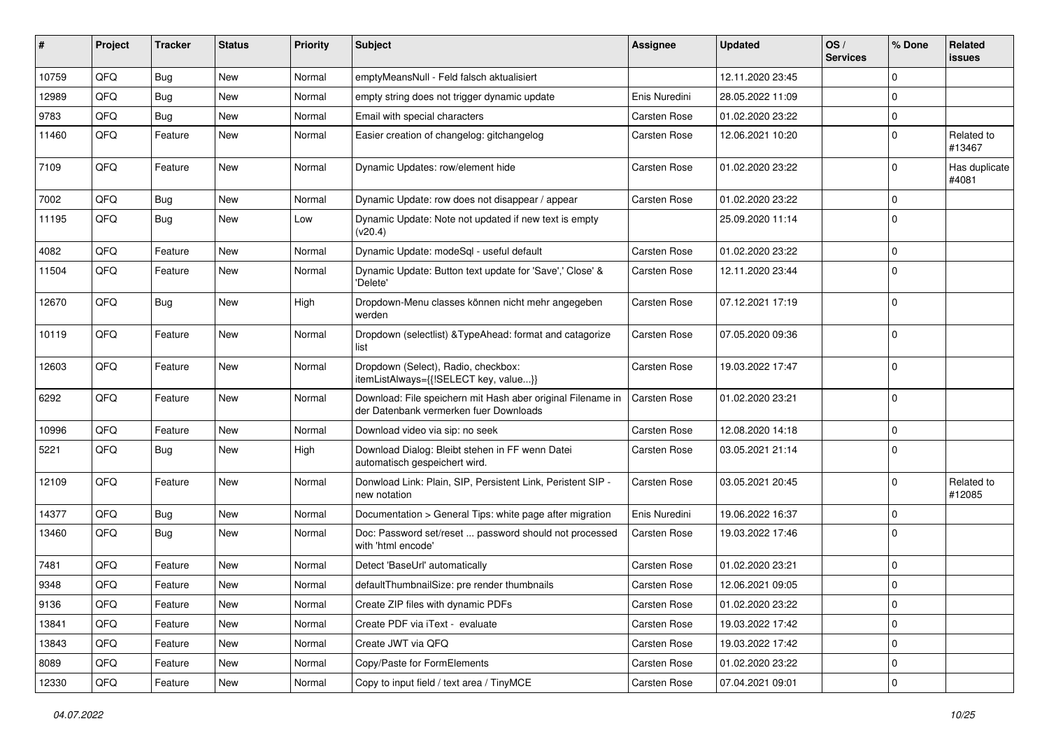| #     | Project | <b>Tracker</b> | <b>Status</b> | <b>Priority</b> | <b>Subject</b>                                                                                        | <b>Assignee</b> | <b>Updated</b>   | OS/<br><b>Services</b> | % Done      | Related<br>issues      |
|-------|---------|----------------|---------------|-----------------|-------------------------------------------------------------------------------------------------------|-----------------|------------------|------------------------|-------------|------------------------|
| 10759 | QFQ     | <b>Bug</b>     | <b>New</b>    | Normal          | emptyMeansNull - Feld falsch aktualisiert                                                             |                 | 12.11.2020 23:45 |                        | $\mathbf 0$ |                        |
| 12989 | QFQ     | <b>Bug</b>     | <b>New</b>    | Normal          | empty string does not trigger dynamic update                                                          | Enis Nuredini   | 28.05.2022 11:09 |                        | $\pmb{0}$   |                        |
| 9783  | QFQ     | <b>Bug</b>     | <b>New</b>    | Normal          | Email with special characters                                                                         | Carsten Rose    | 01.02.2020 23:22 |                        | $\mathbf 0$ |                        |
| 11460 | QFQ     | Feature        | New           | Normal          | Easier creation of changelog: gitchangelog                                                            | Carsten Rose    | 12.06.2021 10:20 |                        | 0           | Related to<br>#13467   |
| 7109  | QFQ     | Feature        | New           | Normal          | Dynamic Updates: row/element hide                                                                     | Carsten Rose    | 01.02.2020 23:22 |                        | $\mathbf 0$ | Has duplicate<br>#4081 |
| 7002  | QFQ     | Bug            | <b>New</b>    | Normal          | Dynamic Update: row does not disappear / appear                                                       | Carsten Rose    | 01.02.2020 23:22 |                        | $\mathbf 0$ |                        |
| 11195 | QFQ     | Bug            | <b>New</b>    | Low             | Dynamic Update: Note not updated if new text is empty<br>(v20.4)                                      |                 | 25.09.2020 11:14 |                        | $\mathbf 0$ |                        |
| 4082  | QFQ     | Feature        | <b>New</b>    | Normal          | Dynamic Update: modeSql - useful default                                                              | Carsten Rose    | 01.02.2020 23:22 |                        | $\pmb{0}$   |                        |
| 11504 | QFQ     | Feature        | New           | Normal          | Dynamic Update: Button text update for 'Save',' Close' &<br>'Delete'                                  | Carsten Rose    | 12.11.2020 23:44 |                        | $\mathbf 0$ |                        |
| 12670 | QFQ     | Bug            | New           | High            | Dropdown-Menu classes können nicht mehr angegeben<br>werden                                           | Carsten Rose    | 07.12.2021 17:19 |                        | $\pmb{0}$   |                        |
| 10119 | QFQ     | Feature        | <b>New</b>    | Normal          | Dropdown (selectlist) & TypeAhead: format and catagorize<br>list                                      | Carsten Rose    | 07.05.2020 09:36 |                        | $\mathbf 0$ |                        |
| 12603 | QFQ     | Feature        | New           | Normal          | Dropdown (Select), Radio, checkbox:<br>itemListAlways={{!SELECT key, value}}                          | Carsten Rose    | 19.03.2022 17:47 |                        | $\mathbf 0$ |                        |
| 6292  | QFQ     | Feature        | New           | Normal          | Download: File speichern mit Hash aber original Filename in<br>der Datenbank vermerken fuer Downloads | Carsten Rose    | 01.02.2020 23:21 |                        | $\mathbf 0$ |                        |
| 10996 | QFQ     | Feature        | <b>New</b>    | Normal          | Download video via sip: no seek                                                                       | Carsten Rose    | 12.08.2020 14:18 |                        | $\mathbf 0$ |                        |
| 5221  | QFQ     | Bug            | New           | High            | Download Dialog: Bleibt stehen in FF wenn Datei<br>automatisch gespeichert wird.                      | Carsten Rose    | 03.05.2021 21:14 |                        | $\mathbf 0$ |                        |
| 12109 | QFQ     | Feature        | New           | Normal          | Donwload Link: Plain, SIP, Persistent Link, Peristent SIP -<br>new notation                           | Carsten Rose    | 03.05.2021 20:45 |                        | $\mathbf 0$ | Related to<br>#12085   |
| 14377 | QFQ     | Bug            | <b>New</b>    | Normal          | Documentation > General Tips: white page after migration                                              | Enis Nuredini   | 19.06.2022 16:37 |                        | 0           |                        |
| 13460 | QFQ     | Bug            | New           | Normal          | Doc: Password set/reset  password should not processed<br>with 'html encode'                          | Carsten Rose    | 19.03.2022 17:46 |                        | $\mathbf 0$ |                        |
| 7481  | QFQ     | Feature        | <b>New</b>    | Normal          | Detect 'BaseUrl' automatically                                                                        | Carsten Rose    | 01.02.2020 23:21 |                        | $\pmb{0}$   |                        |
| 9348  | QFQ     | Feature        | New           | Normal          | defaultThumbnailSize: pre render thumbnails                                                           | Carsten Rose    | 12.06.2021 09:05 |                        | $\pmb{0}$   |                        |
| 9136  | QFQ     | Feature        | New           | Normal          | Create ZIP files with dynamic PDFs                                                                    | Carsten Rose    | 01.02.2020 23:22 |                        | $\mathsf 0$ |                        |
| 13841 | QFQ     | Feature        | New           | Normal          | Create PDF via iText - evaluate                                                                       | Carsten Rose    | 19.03.2022 17:42 |                        | $\mathbf 0$ |                        |
| 13843 | QFQ     | Feature        | New           | Normal          | Create JWT via QFQ                                                                                    | Carsten Rose    | 19.03.2022 17:42 |                        | 0           |                        |
| 8089  | QFQ     | Feature        | New           | Normal          | Copy/Paste for FormElements                                                                           | Carsten Rose    | 01.02.2020 23:22 |                        | $\pmb{0}$   |                        |
| 12330 | QFQ     | Feature        | New           | Normal          | Copy to input field / text area / TinyMCE                                                             | Carsten Rose    | 07.04.2021 09:01 |                        | $\mathsf 0$ |                        |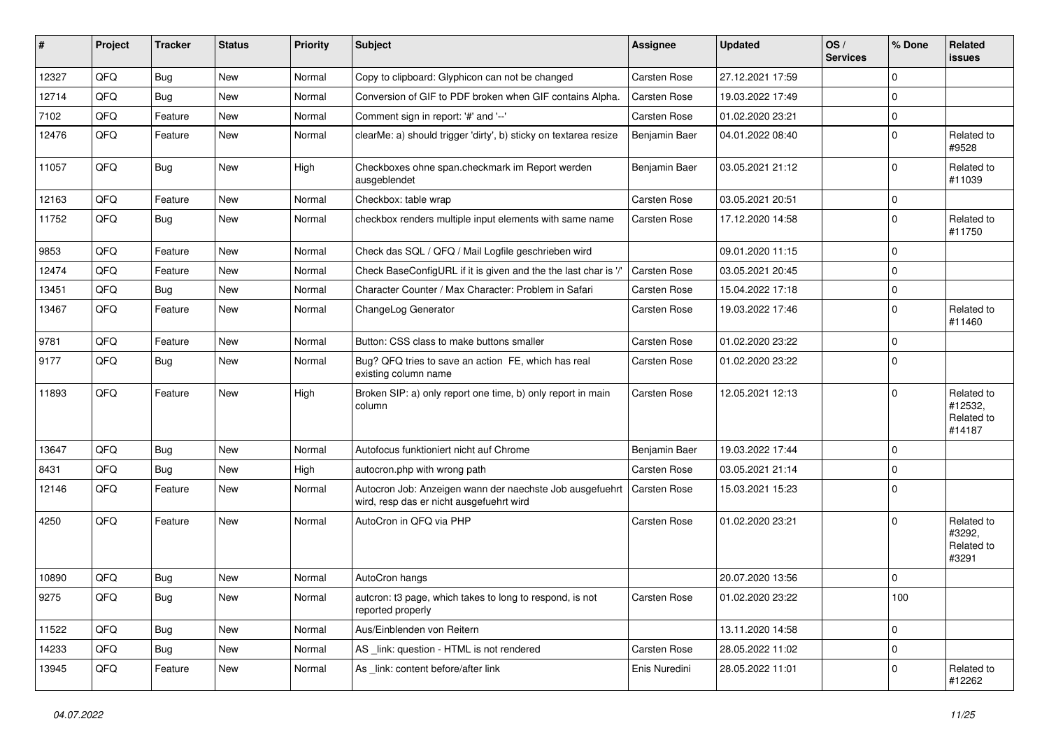| #     | Project | <b>Tracker</b> | <b>Status</b> | <b>Priority</b> | <b>Subject</b>                                                                                       | <b>Assignee</b>     | <b>Updated</b>   | OS/<br><b>Services</b> | % Done      | Related<br><b>issues</b>                      |
|-------|---------|----------------|---------------|-----------------|------------------------------------------------------------------------------------------------------|---------------------|------------------|------------------------|-------------|-----------------------------------------------|
| 12327 | QFQ     | Bug            | <b>New</b>    | Normal          | Copy to clipboard: Glyphicon can not be changed                                                      | <b>Carsten Rose</b> | 27.12.2021 17:59 |                        | $\mathbf 0$ |                                               |
| 12714 | QFQ     | Bug            | <b>New</b>    | Normal          | Conversion of GIF to PDF broken when GIF contains Alpha.                                             | Carsten Rose        | 19.03.2022 17:49 |                        | $\mathbf 0$ |                                               |
| 7102  | QFQ     | Feature        | <b>New</b>    | Normal          | Comment sign in report: '#' and '--'                                                                 | Carsten Rose        | 01.02.2020 23:21 |                        | $\pmb{0}$   |                                               |
| 12476 | QFQ     | Feature        | <b>New</b>    | Normal          | clearMe: a) should trigger 'dirty', b) sticky on textarea resize                                     | Benjamin Baer       | 04.01.2022 08:40 |                        | $\mathbf 0$ | Related to<br>#9528                           |
| 11057 | QFQ     | <b>Bug</b>     | New           | High            | Checkboxes ohne span.checkmark im Report werden<br>ausgeblendet                                      | Benjamin Baer       | 03.05.2021 21:12 |                        | $\mathbf 0$ | Related to<br>#11039                          |
| 12163 | QFQ     | Feature        | <b>New</b>    | Normal          | Checkbox: table wrap                                                                                 | <b>Carsten Rose</b> | 03.05.2021 20:51 |                        | $\pmb{0}$   |                                               |
| 11752 | QFQ     | <b>Bug</b>     | <b>New</b>    | Normal          | checkbox renders multiple input elements with same name                                              | Carsten Rose        | 17.12.2020 14:58 |                        | $\pmb{0}$   | Related to<br>#11750                          |
| 9853  | QFQ     | Feature        | <b>New</b>    | Normal          | Check das SQL / QFQ / Mail Logfile geschrieben wird                                                  |                     | 09.01.2020 11:15 |                        | $\mathbf 0$ |                                               |
| 12474 | QFQ     | Feature        | <b>New</b>    | Normal          | Check BaseConfigURL if it is given and the the last char is '/'                                      | Carsten Rose        | 03.05.2021 20:45 |                        | $\mathbf 0$ |                                               |
| 13451 | QFQ     | <b>Bug</b>     | <b>New</b>    | Normal          | Character Counter / Max Character: Problem in Safari                                                 | Carsten Rose        | 15.04.2022 17:18 |                        | $\mathbf 0$ |                                               |
| 13467 | QFQ     | Feature        | <b>New</b>    | Normal          | ChangeLog Generator                                                                                  | Carsten Rose        | 19.03.2022 17:46 |                        | $\mathbf 0$ | Related to<br>#11460                          |
| 9781  | QFQ     | Feature        | New           | Normal          | Button: CSS class to make buttons smaller                                                            | Carsten Rose        | 01.02.2020 23:22 |                        | $\mathbf 0$ |                                               |
| 9177  | QFQ     | Bug            | New           | Normal          | Bug? QFQ tries to save an action FE, which has real<br>existing column name                          | Carsten Rose        | 01.02.2020 23:22 |                        | $\mathbf 0$ |                                               |
| 11893 | QFQ     | Feature        | <b>New</b>    | High            | Broken SIP: a) only report one time, b) only report in main<br>column                                | Carsten Rose        | 12.05.2021 12:13 |                        | $\mathbf 0$ | Related to<br>#12532.<br>Related to<br>#14187 |
| 13647 | QFQ     | <b>Bug</b>     | <b>New</b>    | Normal          | Autofocus funktioniert nicht auf Chrome                                                              | Benjamin Baer       | 19.03.2022 17:44 |                        | $\mathbf 0$ |                                               |
| 8431  | QFQ     | Bug            | <b>New</b>    | High            | autocron.php with wrong path                                                                         | Carsten Rose        | 03.05.2021 21:14 |                        | $\mathbf 0$ |                                               |
| 12146 | QFQ     | Feature        | New           | Normal          | Autocron Job: Anzeigen wann der naechste Job ausgefuehrt<br>wird, resp das er nicht ausgefuehrt wird | Carsten Rose        | 15.03.2021 15:23 |                        | $\mathbf 0$ |                                               |
| 4250  | QFQ     | Feature        | New           | Normal          | AutoCron in QFQ via PHP                                                                              | <b>Carsten Rose</b> | 01.02.2020 23:21 |                        | $\mathbf 0$ | Related to<br>#3292,<br>Related to<br>#3291   |
| 10890 | QFQ     | <b>Bug</b>     | <b>New</b>    | Normal          | AutoCron hangs                                                                                       |                     | 20.07.2020 13:56 |                        | $\mathbf 0$ |                                               |
| 9275  | QFQ     | <b>Bug</b>     | <b>New</b>    | Normal          | autcron: t3 page, which takes to long to respond, is not<br>reported properly                        | Carsten Rose        | 01.02.2020 23:22 |                        | 100         |                                               |
| 11522 | QFQ     | Bug            | New           | Normal          | Aus/Einblenden von Reitern                                                                           |                     | 13.11.2020 14:58 |                        | $\mathbf 0$ |                                               |
| 14233 | QFQ     | Bug            | New           | Normal          | AS _link: question - HTML is not rendered                                                            | <b>Carsten Rose</b> | 28.05.2022 11:02 |                        | $\pmb{0}$   |                                               |
| 13945 | QFQ     | Feature        | New           | Normal          | As link: content before/after link                                                                   | Enis Nuredini       | 28.05.2022 11:01 |                        | $\Omega$    | Related to<br>#12262                          |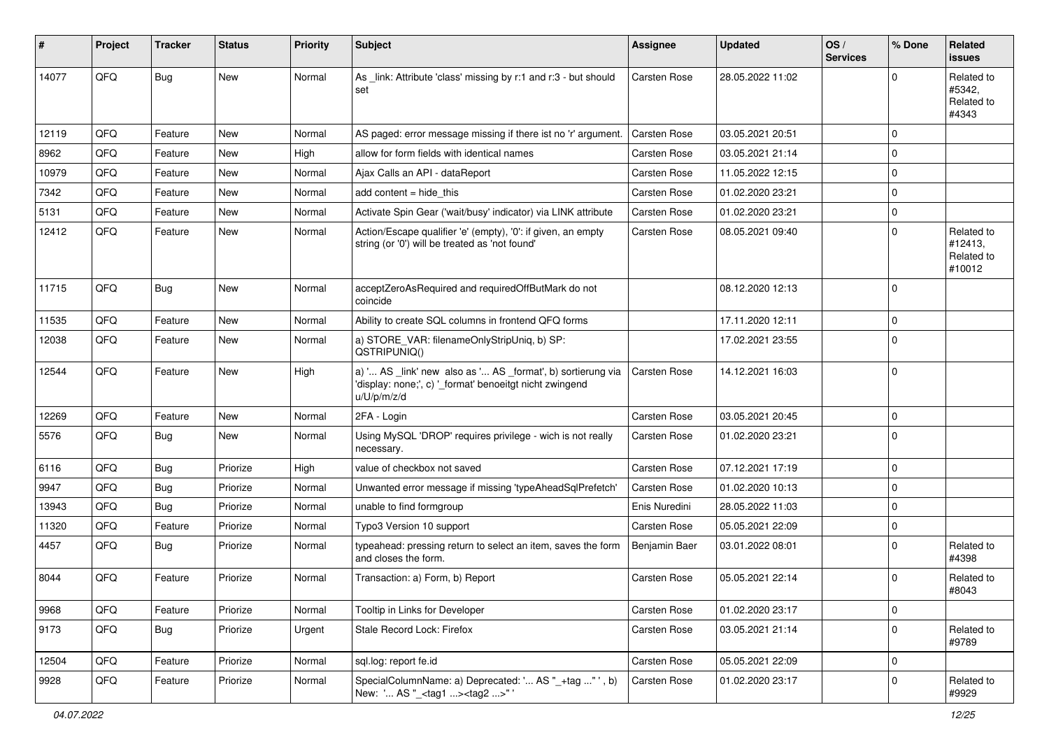| ∦     | Project | <b>Tracker</b> | <b>Status</b> | <b>Priority</b> | <b>Subject</b>                                                                                                                        | <b>Assignee</b> | <b>Updated</b>   | OS/<br><b>Services</b> | % Done      | Related<br>issues                             |
|-------|---------|----------------|---------------|-----------------|---------------------------------------------------------------------------------------------------------------------------------------|-----------------|------------------|------------------------|-------------|-----------------------------------------------|
| 14077 | QFQ     | Bug            | New           | Normal          | As _link: Attribute 'class' missing by r:1 and r:3 - but should<br>set                                                                | Carsten Rose    | 28.05.2022 11:02 |                        | $\Omega$    | Related to<br>#5342,<br>Related to<br>#4343   |
| 12119 | QFQ     | Feature        | <b>New</b>    | Normal          | AS paged: error message missing if there ist no 'r' argument.                                                                         | Carsten Rose    | 03.05.2021 20:51 |                        | $\mathbf 0$ |                                               |
| 8962  | QFQ     | Feature        | New           | High            | allow for form fields with identical names                                                                                            | Carsten Rose    | 03.05.2021 21:14 |                        | $\mathbf 0$ |                                               |
| 10979 | QFQ     | Feature        | <b>New</b>    | Normal          | Ajax Calls an API - dataReport                                                                                                        | Carsten Rose    | 11.05.2022 12:15 |                        | $\mathbf 0$ |                                               |
| 7342  | QFQ     | Feature        | New           | Normal          | add content = hide this                                                                                                               | Carsten Rose    | 01.02.2020 23:21 |                        | $\mathbf 0$ |                                               |
| 5131  | QFQ     | Feature        | <b>New</b>    | Normal          | Activate Spin Gear ('wait/busy' indicator) via LINK attribute                                                                         | Carsten Rose    | 01.02.2020 23:21 |                        | $\mathbf 0$ |                                               |
| 12412 | QFQ     | Feature        | New           | Normal          | Action/Escape qualifier 'e' (empty), '0': if given, an empty<br>string (or '0') will be treated as 'not found'                        | Carsten Rose    | 08.05.2021 09:40 |                        | $\Omega$    | Related to<br>#12413,<br>Related to<br>#10012 |
| 11715 | QFQ     | Bug            | New           | Normal          | acceptZeroAsRequired and requiredOffButMark do not<br>coincide                                                                        |                 | 08.12.2020 12:13 |                        | $\mathbf 0$ |                                               |
| 11535 | QFQ     | Feature        | <b>New</b>    | Normal          | Ability to create SQL columns in frontend QFQ forms                                                                                   |                 | 17.11.2020 12:11 |                        | $\mathbf 0$ |                                               |
| 12038 | QFQ     | Feature        | New           | Normal          | a) STORE_VAR: filenameOnlyStripUniq, b) SP:<br>QSTRIPUNIQ()                                                                           |                 | 17.02.2021 23:55 |                        | $\Omega$    |                                               |
| 12544 | QFQ     | Feature        | <b>New</b>    | High            | a) ' AS _link' new also as ' AS _format', b) sortierung via<br>'display: none;', c) '_format' benoeitgt nicht zwingend<br>u/U/p/m/z/d | Carsten Rose    | 14.12.2021 16:03 |                        | $\Omega$    |                                               |
| 12269 | QFQ     | Feature        | <b>New</b>    | Normal          | 2FA - Login                                                                                                                           | Carsten Rose    | 03.05.2021 20:45 |                        | $\mathbf 0$ |                                               |
| 5576  | QFQ     | Bug            | <b>New</b>    | Normal          | Using MySQL 'DROP' requires privilege - wich is not really<br>necessary.                                                              | Carsten Rose    | 01.02.2020 23:21 |                        | $\mathbf 0$ |                                               |
| 6116  | QFQ     | Bug            | Priorize      | High            | value of checkbox not saved                                                                                                           | Carsten Rose    | 07.12.2021 17:19 |                        | $\mathbf 0$ |                                               |
| 9947  | QFQ     | Bug            | Priorize      | Normal          | Unwanted error message if missing 'typeAheadSqlPrefetch'                                                                              | Carsten Rose    | 01.02.2020 10:13 |                        | $\mathbf 0$ |                                               |
| 13943 | QFQ     | Bug            | Priorize      | Normal          | unable to find formgroup                                                                                                              | Enis Nuredini   | 28.05.2022 11:03 |                        | $\mathbf 0$ |                                               |
| 11320 | QFQ     | Feature        | Priorize      | Normal          | Typo3 Version 10 support                                                                                                              | Carsten Rose    | 05.05.2021 22:09 |                        | $\mathbf 0$ |                                               |
| 4457  | QFQ     | <b>Bug</b>     | Priorize      | Normal          | typeahead: pressing return to select an item, saves the form<br>and closes the form.                                                  | Benjamin Baer   | 03.01.2022 08:01 |                        | $\mathbf 0$ | Related to<br>#4398                           |
| 8044  | QFQ     | Feature        | Priorize      | Normal          | Transaction: a) Form, b) Report                                                                                                       | Carsten Rose    | 05.05.2021 22:14 |                        | $\mathbf 0$ | Related to<br>#8043                           |
| 9968  | QFQ     | Feature        | Priorize      | Normal          | Tooltip in Links for Developer                                                                                                        | Carsten Rose    | 01.02.2020 23:17 |                        | $\mathbf 0$ |                                               |
| 9173  | QFQ     | <b>Bug</b>     | Priorize      | Urgent          | Stale Record Lock: Firefox                                                                                                            | Carsten Rose    | 03.05.2021 21:14 |                        | $\mathbf 0$ | Related to<br>#9789                           |
| 12504 | QFQ     | Feature        | Priorize      | Normal          | sql.log: report fe.id                                                                                                                 | Carsten Rose    | 05.05.2021 22:09 |                        | $\mathbf 0$ |                                               |
| 9928  | QFQ     | Feature        | Priorize      | Normal          | SpecialColumnName: a) Deprecated: ' AS "_+tag " ', b)<br>New: ' AS "_ <tag1><tag2>" '</tag2></tag1>                                   | Carsten Rose    | 01.02.2020 23:17 |                        | $\mathbf 0$ | Related to<br>#9929                           |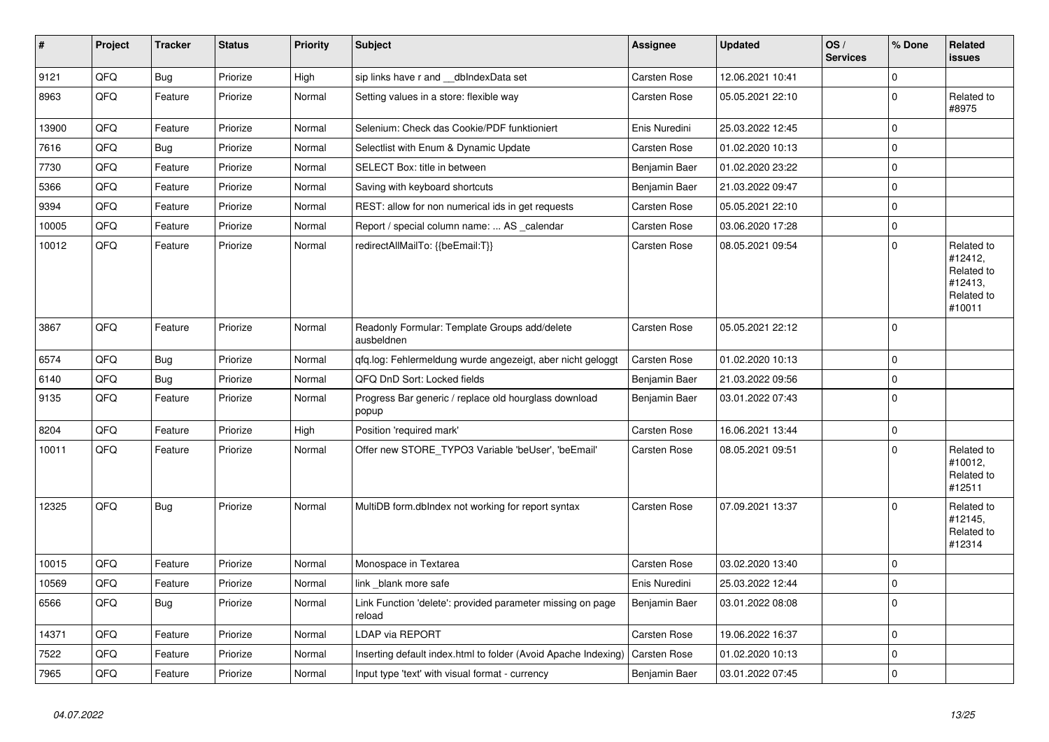| $\vert$ # | <b>Project</b> | <b>Tracker</b> | <b>Status</b> | <b>Priority</b> | <b>Subject</b>                                                       | <b>Assignee</b>     | <b>Updated</b>   | OS/<br><b>Services</b> | % Done      | Related<br>issues                                                      |
|-----------|----------------|----------------|---------------|-----------------|----------------------------------------------------------------------|---------------------|------------------|------------------------|-------------|------------------------------------------------------------------------|
| 9121      | QFQ            | Bug            | Priorize      | High            | sip links have r and __dbIndexData set                               | <b>Carsten Rose</b> | 12.06.2021 10:41 |                        | 0           |                                                                        |
| 8963      | QFQ            | Feature        | Priorize      | Normal          | Setting values in a store: flexible way                              | Carsten Rose        | 05.05.2021 22:10 |                        | $\pmb{0}$   | Related to<br>#8975                                                    |
| 13900     | QFQ            | Feature        | Priorize      | Normal          | Selenium: Check das Cookie/PDF funktioniert                          | Enis Nuredini       | 25.03.2022 12:45 |                        | $\Omega$    |                                                                        |
| 7616      | QFQ            | <b>Bug</b>     | Priorize      | Normal          | Selectlist with Enum & Dynamic Update                                | Carsten Rose        | 01.02.2020 10:13 |                        | $\mathbf 0$ |                                                                        |
| 7730      | QFQ            | Feature        | Priorize      | Normal          | SELECT Box: title in between                                         | Benjamin Baer       | 01.02.2020 23:22 |                        | $\mathbf 0$ |                                                                        |
| 5366      | QFQ            | Feature        | Priorize      | Normal          | Saving with keyboard shortcuts                                       | Benjamin Baer       | 21.03.2022 09:47 |                        | 0           |                                                                        |
| 9394      | QFQ            | Feature        | Priorize      | Normal          | REST: allow for non numerical ids in get requests                    | <b>Carsten Rose</b> | 05.05.2021 22:10 |                        | $\Omega$    |                                                                        |
| 10005     | QFQ            | Feature        | Priorize      | Normal          | Report / special column name:  AS calendar                           | Carsten Rose        | 03.06.2020 17:28 |                        | $\pmb{0}$   |                                                                        |
| 10012     | QFQ            | Feature        | Priorize      | Normal          | redirectAllMailTo: {{beEmail:T}}                                     | Carsten Rose        | 08.05.2021 09:54 |                        | $\mathbf 0$ | Related to<br>#12412,<br>Related to<br>#12413,<br>Related to<br>#10011 |
| 3867      | QFQ            | Feature        | Priorize      | Normal          | Readonly Formular: Template Groups add/delete<br>ausbeldnen          | <b>Carsten Rose</b> | 05.05.2021 22:12 |                        | $\Omega$    |                                                                        |
| 6574      | QFQ            | Bug            | Priorize      | Normal          | gfg.log: Fehlermeldung wurde angezeigt, aber nicht geloggt           | Carsten Rose        | 01.02.2020 10:13 |                        | 0           |                                                                        |
| 6140      | QFQ            | Bug            | Priorize      | Normal          | QFQ DnD Sort: Locked fields                                          | Benjamin Baer       | 21.03.2022 09:56 |                        | $\mathbf 0$ |                                                                        |
| 9135      | QFQ            | Feature        | Priorize      | Normal          | Progress Bar generic / replace old hourglass download<br>popup       | Benjamin Baer       | 03.01.2022 07:43 |                        | 0           |                                                                        |
| 8204      | QFQ            | Feature        | Priorize      | High            | Position 'required mark'                                             | Carsten Rose        | 16.06.2021 13:44 |                        | $\mathbf 0$ |                                                                        |
| 10011     | QFQ            | Feature        | Priorize      | Normal          | Offer new STORE_TYPO3 Variable 'beUser', 'beEmail'                   | Carsten Rose        | 08.05.2021 09:51 |                        | $\Omega$    | Related to<br>#10012,<br>Related to<br>#12511                          |
| 12325     | QFQ            | Bug            | Priorize      | Normal          | MultiDB form.dblndex not working for report syntax                   | Carsten Rose        | 07.09.2021 13:37 |                        | $\Omega$    | Related to<br>#12145,<br>Related to<br>#12314                          |
| 10015     | QFQ            | Feature        | Priorize      | Normal          | Monospace in Textarea                                                | Carsten Rose        | 03.02.2020 13:40 |                        | $\Omega$    |                                                                        |
| 10569     | QFQ            | Feature        | Priorize      | Normal          | link blank more safe                                                 | Enis Nuredini       | 25.03.2022 12:44 |                        | $\Omega$    |                                                                        |
| 6566      | QFQ            | Bug            | Priorize      | Normal          | Link Function 'delete': provided parameter missing on page<br>reload | Benjamin Baer       | 03.01.2022 08:08 |                        | $\Omega$    |                                                                        |
| 14371     | QFQ            | Feature        | Priorize      | Normal          | LDAP via REPORT                                                      | Carsten Rose        | 19.06.2022 16:37 |                        | $\mathbf 0$ |                                                                        |
| 7522      | QFQ            | Feature        | Priorize      | Normal          | Inserting default index.html to folder (Avoid Apache Indexing)       | Carsten Rose        | 01.02.2020 10:13 |                        | 0           |                                                                        |
| 7965      | QFQ            | Feature        | Priorize      | Normal          | Input type 'text' with visual format - currency                      | Benjamin Baer       | 03.01.2022 07:45 |                        | $\Omega$    |                                                                        |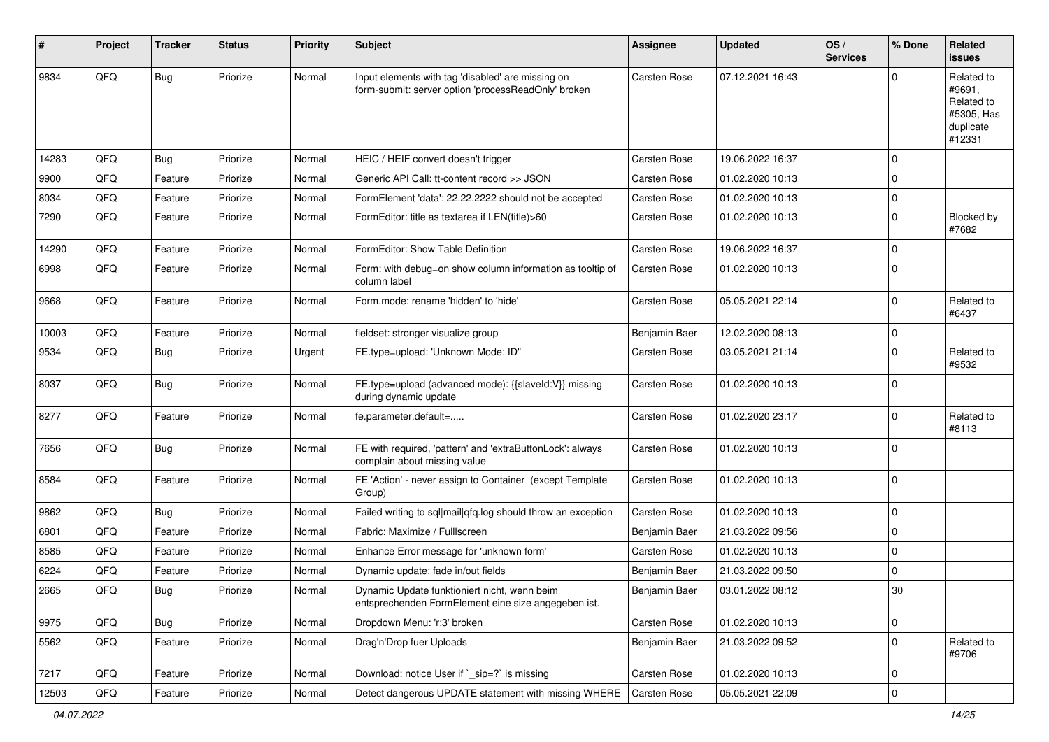| #     | Project | <b>Tracker</b> | <b>Status</b> | <b>Priority</b> | <b>Subject</b>                                                                                           | <b>Assignee</b> | <b>Updated</b>   | OS/<br><b>Services</b> | % Done      | Related<br>issues                                                       |
|-------|---------|----------------|---------------|-----------------|----------------------------------------------------------------------------------------------------------|-----------------|------------------|------------------------|-------------|-------------------------------------------------------------------------|
| 9834  | QFQ     | Bug            | Priorize      | Normal          | Input elements with tag 'disabled' are missing on<br>form-submit: server option 'processReadOnly' broken | Carsten Rose    | 07.12.2021 16:43 |                        | $\Omega$    | Related to<br>#9691.<br>Related to<br>#5305, Has<br>duplicate<br>#12331 |
| 14283 | QFQ     | <b>Bug</b>     | Priorize      | Normal          | HEIC / HEIF convert doesn't trigger                                                                      | Carsten Rose    | 19.06.2022 16:37 |                        | $\Omega$    |                                                                         |
| 9900  | QFQ     | Feature        | Priorize      | Normal          | Generic API Call: tt-content record >> JSON                                                              | Carsten Rose    | 01.02.2020 10:13 |                        | $\Omega$    |                                                                         |
| 8034  | QFQ     | Feature        | Priorize      | Normal          | FormElement 'data': 22.22.2222 should not be accepted                                                    | Carsten Rose    | 01.02.2020 10:13 |                        | $\mathbf 0$ |                                                                         |
| 7290  | QFQ     | Feature        | Priorize      | Normal          | FormEditor: title as textarea if LEN(title)>60                                                           | Carsten Rose    | 01.02.2020 10:13 |                        | $\Omega$    | Blocked by<br>#7682                                                     |
| 14290 | QFQ     | Feature        | Priorize      | Normal          | FormEditor: Show Table Definition                                                                        | Carsten Rose    | 19.06.2022 16:37 |                        | $\Omega$    |                                                                         |
| 6998  | QFQ     | Feature        | Priorize      | Normal          | Form: with debug=on show column information as tooltip of<br>column label                                | Carsten Rose    | 01.02.2020 10:13 |                        | $\Omega$    |                                                                         |
| 9668  | QFQ     | Feature        | Priorize      | Normal          | Form.mode: rename 'hidden' to 'hide'                                                                     | Carsten Rose    | 05.05.2021 22:14 |                        | $\Omega$    | Related to<br>#6437                                                     |
| 10003 | QFQ     | Feature        | Priorize      | Normal          | fieldset: stronger visualize group                                                                       | Benjamin Baer   | 12.02.2020 08:13 |                        | $\mathbf 0$ |                                                                         |
| 9534  | QFQ     | <b>Bug</b>     | Priorize      | Urgent          | FE.type=upload: 'Unknown Mode: ID"                                                                       | Carsten Rose    | 03.05.2021 21:14 |                        | $\Omega$    | Related to<br>#9532                                                     |
| 8037  | QFQ     | Bug            | Priorize      | Normal          | FE.type=upload (advanced mode): {{slaveId:V}} missing<br>during dynamic update                           | Carsten Rose    | 01.02.2020 10:13 |                        | $\Omega$    |                                                                         |
| 8277  | QFQ     | Feature        | Priorize      | Normal          | fe.parameter.default=                                                                                    | Carsten Rose    | 01.02.2020 23:17 |                        | $\Omega$    | Related to<br>#8113                                                     |
| 7656  | QFQ     | Bug            | Priorize      | Normal          | FE with required, 'pattern' and 'extraButtonLock': always<br>complain about missing value                | Carsten Rose    | 01.02.2020 10:13 |                        | $\Omega$    |                                                                         |
| 8584  | QFQ     | Feature        | Priorize      | Normal          | FE 'Action' - never assign to Container (except Template<br>Group)                                       | Carsten Rose    | 01.02.2020 10:13 |                        | $\Omega$    |                                                                         |
| 9862  | QFQ     | Bug            | Priorize      | Normal          | Failed writing to sql mail qfq.log should throw an exception                                             | Carsten Rose    | 01.02.2020 10:13 |                        | $\mathbf 0$ |                                                                         |
| 6801  | QFQ     | Feature        | Priorize      | Normal          | Fabric: Maximize / Fulllscreen                                                                           | Benjamin Baer   | 21.03.2022 09:56 |                        | $\Omega$    |                                                                         |
| 8585  | QFQ     | Feature        | Priorize      | Normal          | Enhance Error message for 'unknown form'                                                                 | Carsten Rose    | 01.02.2020 10:13 |                        | $\Omega$    |                                                                         |
| 6224  | QFQ     | Feature        | Priorize      | Normal          | Dynamic update: fade in/out fields                                                                       | Benjamin Baer   | 21.03.2022 09:50 |                        | $\Omega$    |                                                                         |
| 2665  | QFQ     | Bug            | Priorize      | Normal          | Dynamic Update funktioniert nicht, wenn beim<br>entsprechenden FormElement eine size angegeben ist.      | Benjamin Baer   | 03.01.2022 08:12 |                        | 30          |                                                                         |
| 9975  | QFQ     | <b>Bug</b>     | Priorize      | Normal          | Dropdown Menu: 'r:3' broken                                                                              | Carsten Rose    | 01.02.2020 10:13 |                        | 0           |                                                                         |
| 5562  | QFQ     | Feature        | Priorize      | Normal          | Drag'n'Drop fuer Uploads                                                                                 | Benjamin Baer   | 21.03.2022 09:52 |                        | 0           | Related to<br>#9706                                                     |
| 7217  | QFQ     | Feature        | Priorize      | Normal          | Download: notice User if `_sip=?` is missing                                                             | Carsten Rose    | 01.02.2020 10:13 |                        | 0           |                                                                         |
| 12503 | QFQ     | Feature        | Priorize      | Normal          | Detect dangerous UPDATE statement with missing WHERE                                                     | Carsten Rose    | 05.05.2021 22:09 |                        | 0           |                                                                         |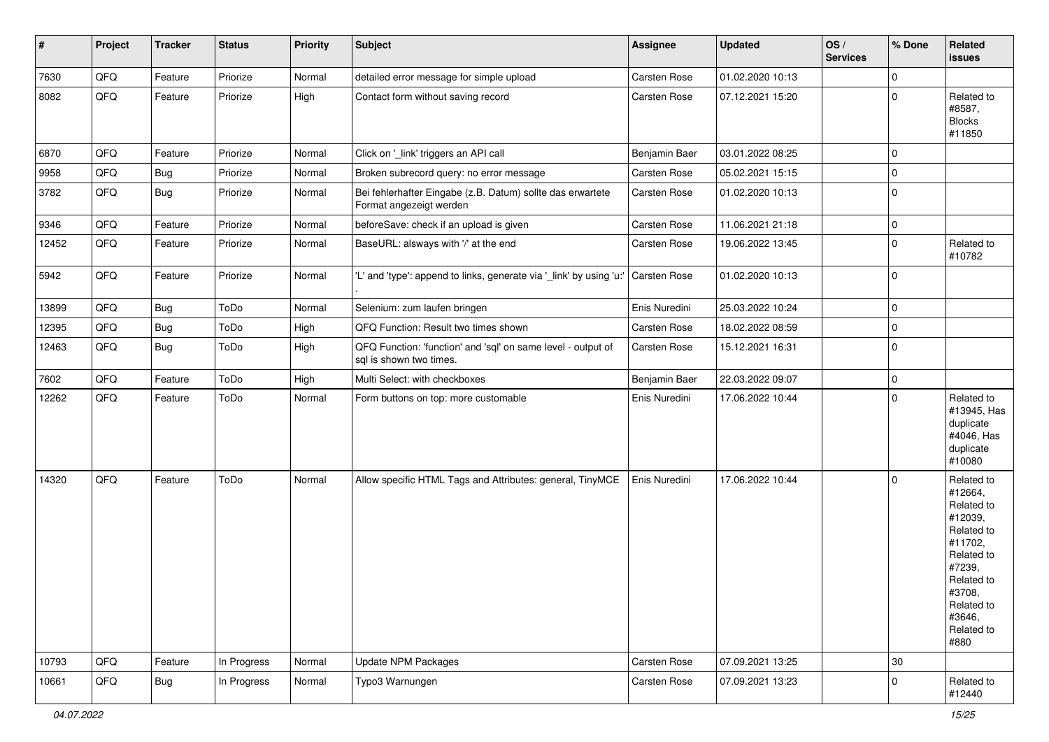| #     | Project | <b>Tracker</b> | <b>Status</b> | <b>Priority</b> | <b>Subject</b>                                                                          | Assignee      | <b>Updated</b>   | OS/<br><b>Services</b> | % Done      | Related<br>issues                                                                                                                                                     |
|-------|---------|----------------|---------------|-----------------|-----------------------------------------------------------------------------------------|---------------|------------------|------------------------|-------------|-----------------------------------------------------------------------------------------------------------------------------------------------------------------------|
| 7630  | QFQ     | Feature        | Priorize      | Normal          | detailed error message for simple upload                                                | Carsten Rose  | 01.02.2020 10:13 |                        | $\mathbf 0$ |                                                                                                                                                                       |
| 8082  | QFQ     | Feature        | Priorize      | High            | Contact form without saving record                                                      | Carsten Rose  | 07.12.2021 15:20 |                        | $\pmb{0}$   | Related to<br>#8587,<br><b>Blocks</b><br>#11850                                                                                                                       |
| 6870  | QFQ     | Feature        | Priorize      | Normal          | Click on '_link' triggers an API call                                                   | Benjamin Baer | 03.01.2022 08:25 |                        | 0           |                                                                                                                                                                       |
| 9958  | QFQ     | <b>Bug</b>     | Priorize      | Normal          | Broken subrecord query: no error message                                                | Carsten Rose  | 05.02.2021 15:15 |                        | $\mathbf 0$ |                                                                                                                                                                       |
| 3782  | QFQ     | Bug            | Priorize      | Normal          | Bei fehlerhafter Eingabe (z.B. Datum) sollte das erwartete<br>Format angezeigt werden   | Carsten Rose  | 01.02.2020 10:13 |                        | $\mathbf 0$ |                                                                                                                                                                       |
| 9346  | QFQ     | Feature        | Priorize      | Normal          | beforeSave: check if an upload is given                                                 | Carsten Rose  | 11.06.2021 21:18 |                        | 0           |                                                                                                                                                                       |
| 12452 | QFQ     | Feature        | Priorize      | Normal          | BaseURL: alsways with '/' at the end                                                    | Carsten Rose  | 19.06.2022 13:45 |                        | $\mathbf 0$ | Related to<br>#10782                                                                                                                                                  |
| 5942  | QFQ     | Feature        | Priorize      | Normal          | 'L' and 'type': append to links, generate via '_link' by using 'u:'                     | Carsten Rose  | 01.02.2020 10:13 |                        | $\pmb{0}$   |                                                                                                                                                                       |
| 13899 | QFQ     | Bug            | ToDo          | Normal          | Selenium: zum laufen bringen                                                            | Enis Nuredini | 25.03.2022 10:24 |                        | $\mathbf 0$ |                                                                                                                                                                       |
| 12395 | QFQ     | Bug            | ToDo          | High            | QFQ Function: Result two times shown                                                    | Carsten Rose  | 18.02.2022 08:59 |                        | $\mathbf 0$ |                                                                                                                                                                       |
| 12463 | QFQ     | Bug            | ToDo          | High            | QFQ Function: 'function' and 'sql' on same level - output of<br>sql is shown two times. | Carsten Rose  | 15.12.2021 16:31 |                        | $\pmb{0}$   |                                                                                                                                                                       |
| 7602  | QFQ     | Feature        | ToDo          | High            | Multi Select: with checkboxes                                                           | Benjamin Baer | 22.03.2022 09:07 |                        | $\mathbf 0$ |                                                                                                                                                                       |
| 12262 | QFQ     | Feature        | ToDo          | Normal          | Form buttons on top: more customable                                                    | Enis Nuredini | 17.06.2022 10:44 |                        | $\mathbf 0$ | Related to<br>#13945, Has<br>duplicate<br>#4046, Has<br>duplicate<br>#10080                                                                                           |
| 14320 | QFQ     | Feature        | ToDo          | Normal          | Allow specific HTML Tags and Attributes: general, TinyMCE                               | Enis Nuredini | 17.06.2022 10:44 |                        | $\mathbf 0$ | Related to<br>#12664,<br>Related to<br>#12039,<br>Related to<br>#11702,<br>Related to<br>#7239,<br>Related to<br>#3708,<br>Related to<br>#3646,<br>Related to<br>#880 |
| 10793 | QFQ     | Feature        | In Progress   | Normal          | <b>Update NPM Packages</b>                                                              | Carsten Rose  | 07.09.2021 13:25 |                        | $30\,$      |                                                                                                                                                                       |
| 10661 | QFQ     | <b>Bug</b>     | In Progress   | Normal          | Typo3 Warnungen                                                                         | Carsten Rose  | 07.09.2021 13:23 |                        | 0           | Related to<br>#12440                                                                                                                                                  |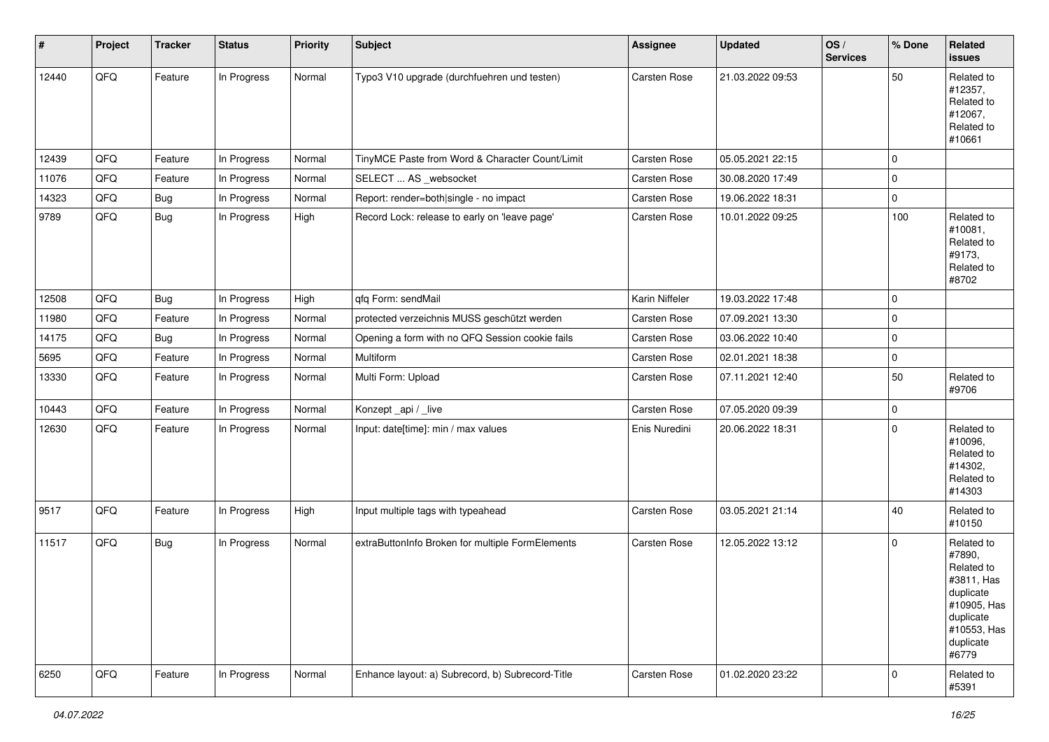| $\sharp$ | Project | <b>Tracker</b> | <b>Status</b> | <b>Priority</b> | Subject                                          | <b>Assignee</b> | <b>Updated</b>   | OS/<br><b>Services</b> | % Done      | Related<br>issues                                                                                                              |
|----------|---------|----------------|---------------|-----------------|--------------------------------------------------|-----------------|------------------|------------------------|-------------|--------------------------------------------------------------------------------------------------------------------------------|
| 12440    | QFQ     | Feature        | In Progress   | Normal          | Typo3 V10 upgrade (durchfuehren und testen)      | Carsten Rose    | 21.03.2022 09:53 |                        | 50          | Related to<br>#12357,<br>Related to<br>#12067,<br>Related to<br>#10661                                                         |
| 12439    | QFQ     | Feature        | In Progress   | Normal          | TinyMCE Paste from Word & Character Count/Limit  | Carsten Rose    | 05.05.2021 22:15 |                        | $\mathbf 0$ |                                                                                                                                |
| 11076    | QFQ     | Feature        | In Progress   | Normal          | SELECT  AS _websocket                            | Carsten Rose    | 30.08.2020 17:49 |                        | 0           |                                                                                                                                |
| 14323    | QFQ     | Bug            | In Progress   | Normal          | Report: render=both single - no impact           | Carsten Rose    | 19.06.2022 18:31 |                        | 0           |                                                                                                                                |
| 9789     | QFQ     | Bug            | In Progress   | High            | Record Lock: release to early on 'leave page'    | Carsten Rose    | 10.01.2022 09:25 |                        | 100         | Related to<br>#10081,<br>Related to<br>#9173,<br>Related to<br>#8702                                                           |
| 12508    | QFQ     | Bug            | In Progress   | High            | qfq Form: sendMail                               | Karin Niffeler  | 19.03.2022 17:48 |                        | 0           |                                                                                                                                |
| 11980    | QFQ     | Feature        | In Progress   | Normal          | protected verzeichnis MUSS geschützt werden      | Carsten Rose    | 07.09.2021 13:30 |                        | $\mathbf 0$ |                                                                                                                                |
| 14175    | QFQ     | <b>Bug</b>     | In Progress   | Normal          | Opening a form with no QFQ Session cookie fails  | Carsten Rose    | 03.06.2022 10:40 |                        | $\mathbf 0$ |                                                                                                                                |
| 5695     | QFQ     | Feature        | In Progress   | Normal          | Multiform                                        | Carsten Rose    | 02.01.2021 18:38 |                        | 0           |                                                                                                                                |
| 13330    | QFQ     | Feature        | In Progress   | Normal          | Multi Form: Upload                               | Carsten Rose    | 07.11.2021 12:40 |                        | 50          | Related to<br>#9706                                                                                                            |
| 10443    | QFQ     | Feature        | In Progress   | Normal          | Konzept_api / _live                              | Carsten Rose    | 07.05.2020 09:39 |                        | 0           |                                                                                                                                |
| 12630    | QFQ     | Feature        | In Progress   | Normal          | Input: date[time]: min / max values              | Enis Nuredini   | 20.06.2022 18:31 |                        | $\mathbf 0$ | Related to<br>#10096,<br>Related to<br>#14302,<br>Related to<br>#14303                                                         |
| 9517     | QFQ     | Feature        | In Progress   | High            | Input multiple tags with typeahead               | Carsten Rose    | 03.05.2021 21:14 |                        | 40          | Related to<br>#10150                                                                                                           |
| 11517    | QFQ     | Bug            | In Progress   | Normal          | extraButtonInfo Broken for multiple FormElements | Carsten Rose    | 12.05.2022 13:12 |                        | $\mathbf 0$ | Related to<br>#7890,<br>Related to<br>#3811, Has<br>duplicate<br>#10905, Has<br>duplicate<br>#10553, Has<br>duplicate<br>#6779 |
| 6250     | QFG     | Feature        | In Progress   | Normal          | Enhance layout: a) Subrecord, b) Subrecord-Title | Carsten Rose    | 01.02.2020 23:22 |                        | $\mathbf 0$ | Related to<br>#5391                                                                                                            |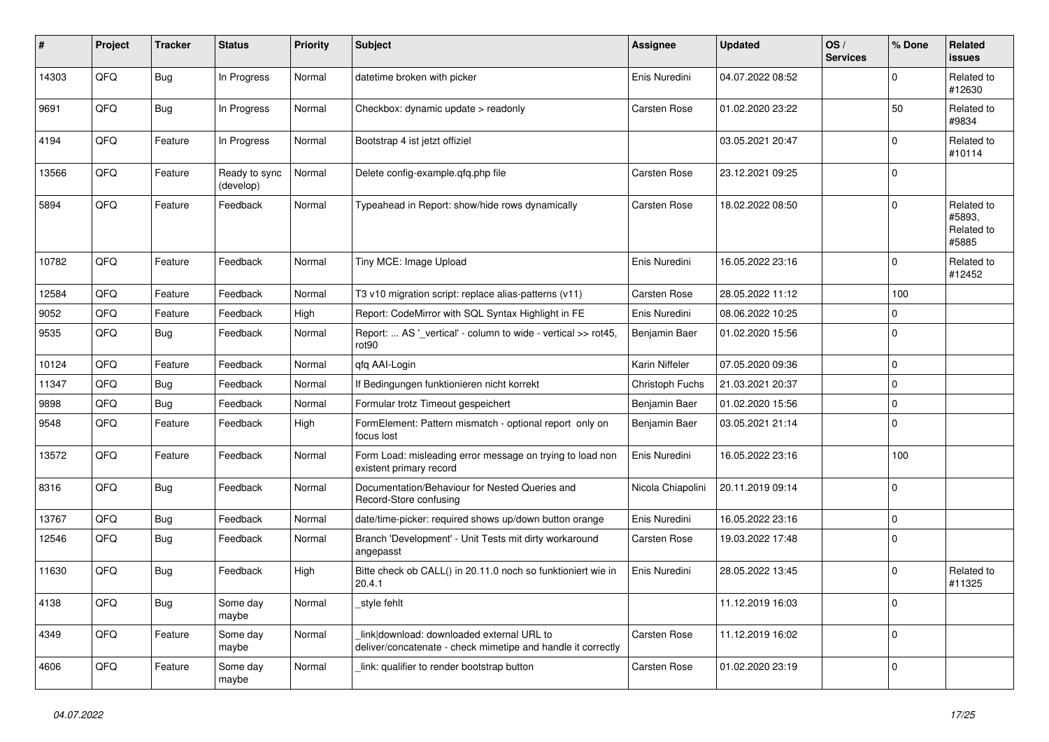| #     | Project    | <b>Tracker</b> | <b>Status</b>              | <b>Priority</b> | <b>Subject</b>                                                                                            | <b>Assignee</b>   | <b>Updated</b>   | OS/<br><b>Services</b> | % Done       | Related<br><b>issues</b>                    |
|-------|------------|----------------|----------------------------|-----------------|-----------------------------------------------------------------------------------------------------------|-------------------|------------------|------------------------|--------------|---------------------------------------------|
| 14303 | QFQ        | <b>Bug</b>     | In Progress                | Normal          | datetime broken with picker                                                                               | Enis Nuredini     | 04.07.2022 08:52 |                        | $\mathbf 0$  | Related to<br>#12630                        |
| 9691  | QFQ        | <b>Bug</b>     | In Progress                | Normal          | Checkbox: dynamic update > readonly                                                                       | Carsten Rose      | 01.02.2020 23:22 |                        | 50           | Related to<br>#9834                         |
| 4194  | QFQ        | Feature        | In Progress                | Normal          | Bootstrap 4 ist jetzt offiziel                                                                            |                   | 03.05.2021 20:47 |                        | $\mathbf{0}$ | Related to<br>#10114                        |
| 13566 | QFQ        | Feature        | Ready to sync<br>(develop) | Normal          | Delete config-example.gfg.php file                                                                        | Carsten Rose      | 23.12.2021 09:25 |                        | $\mathbf 0$  |                                             |
| 5894  | QFQ        | Feature        | Feedback                   | Normal          | Typeahead in Report: show/hide rows dynamically                                                           | Carsten Rose      | 18.02.2022 08:50 |                        | $\mathbf 0$  | Related to<br>#5893,<br>Related to<br>#5885 |
| 10782 | QFQ        | Feature        | Feedback                   | Normal          | Tiny MCE: Image Upload                                                                                    | Enis Nuredini     | 16.05.2022 23:16 |                        | $\mathbf 0$  | Related to<br>#12452                        |
| 12584 | QFQ        | Feature        | Feedback                   | Normal          | T3 v10 migration script: replace alias-patterns (v11)                                                     | Carsten Rose      | 28.05.2022 11:12 |                        | 100          |                                             |
| 9052  | QFQ        | Feature        | Feedback                   | High            | Report: CodeMirror with SQL Syntax Highlight in FE                                                        | Enis Nuredini     | 08.06.2022 10:25 |                        | $\mathbf 0$  |                                             |
| 9535  | QFQ        | <b>Bug</b>     | Feedback                   | Normal          | Report:  AS '_vertical' - column to wide - vertical >> rot45,<br>rot90                                    | Benjamin Baer     | 01.02.2020 15:56 |                        | $\mathbf 0$  |                                             |
| 10124 | QFQ        | Feature        | Feedback                   | Normal          | qfq AAI-Login                                                                                             | Karin Niffeler    | 07.05.2020 09:36 |                        | $\mathbf 0$  |                                             |
| 11347 | QFQ        | <b>Bug</b>     | Feedback                   | Normal          | If Bedingungen funktionieren nicht korrekt                                                                | Christoph Fuchs   | 21.03.2021 20:37 |                        | $\mathbf 0$  |                                             |
| 9898  | QFQ        | <b>Bug</b>     | Feedback                   | Normal          | Formular trotz Timeout gespeichert                                                                        | Benjamin Baer     | 01.02.2020 15:56 |                        | $\mathbf 0$  |                                             |
| 9548  | QFQ        | Feature        | Feedback                   | High            | FormElement: Pattern mismatch - optional report only on<br>focus lost                                     | Benjamin Baer     | 03.05.2021 21:14 |                        | $\mathbf 0$  |                                             |
| 13572 | QFQ        | Feature        | Feedback                   | Normal          | Form Load: misleading error message on trying to load non<br>existent primary record                      | Enis Nuredini     | 16.05.2022 23:16 |                        | 100          |                                             |
| 8316  | QFQ        | Bug            | Feedback                   | Normal          | Documentation/Behaviour for Nested Queries and<br>Record-Store confusing                                  | Nicola Chiapolini | 20.11.2019 09:14 |                        | $\mathbf 0$  |                                             |
| 13767 | <b>OFO</b> | <b>Bug</b>     | Feedback                   | Normal          | date/time-picker: required shows up/down button orange                                                    | Enis Nuredini     | 16.05.2022 23:16 |                        | $\pmb{0}$    |                                             |
| 12546 | QFQ        | <b>Bug</b>     | Feedback                   | Normal          | Branch 'Development' - Unit Tests mit dirty workaround<br>angepasst                                       | Carsten Rose      | 19.03.2022 17:48 |                        | $\mathbf 0$  |                                             |
| 11630 | QFQ        | <b>Bug</b>     | Feedback                   | High            | Bitte check ob CALL() in 20.11.0 noch so funktioniert wie in<br>20.4.1                                    | Enis Nuredini     | 28.05.2022 13:45 |                        | $\mathbf 0$  | Related to<br>#11325                        |
| 4138  | QFQ        | Bug            | Some day<br>maybe          | Normal          | style fehlt                                                                                               |                   | 11.12.2019 16:03 |                        | $\mathbf 0$  |                                             |
| 4349  | QFQ        | Feature        | Some day<br>maybe          | Normal          | link download: downloaded external URL to<br>deliver/concatenate - check mimetipe and handle it correctly | Carsten Rose      | 11.12.2019 16:02 |                        | $\mathbf 0$  |                                             |
| 4606  | QFQ        | Feature        | Some day<br>maybe          | Normal          | link: qualifier to render bootstrap button                                                                | Carsten Rose      | 01.02.2020 23:19 |                        | $\mathbf 0$  |                                             |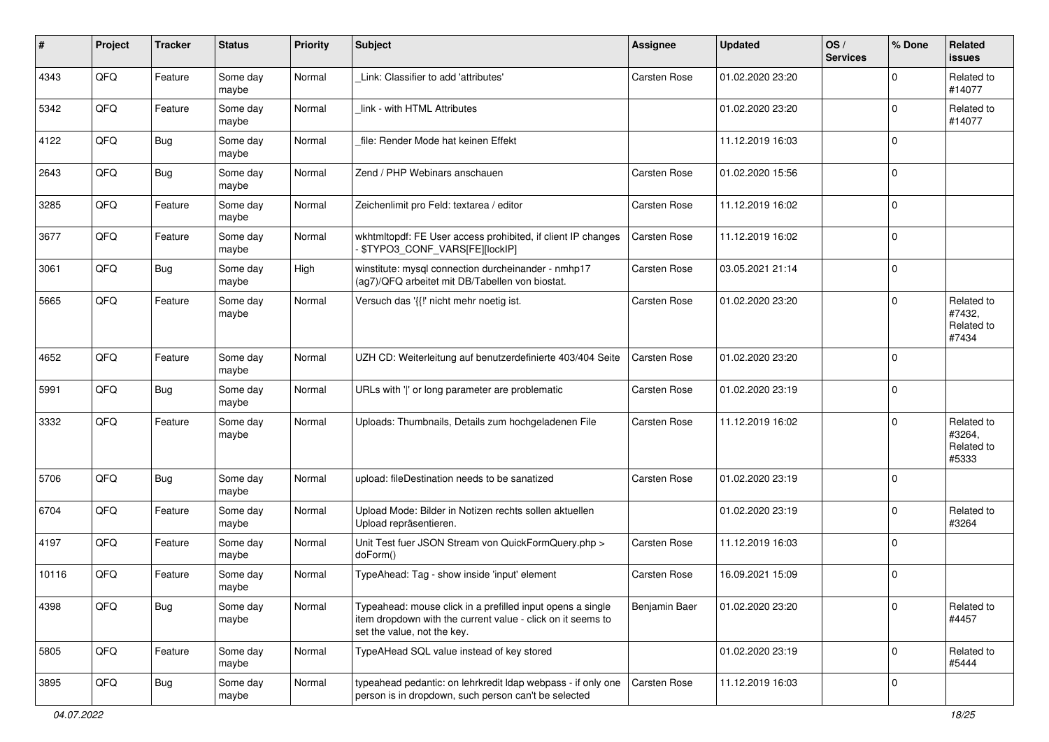| #     | Project | <b>Tracker</b> | <b>Status</b>     | <b>Priority</b> | Subject                                                                                                                                                  | <b>Assignee</b> | <b>Updated</b>   | OS/<br><b>Services</b> | % Done      | Related<br>issues                           |
|-------|---------|----------------|-------------------|-----------------|----------------------------------------------------------------------------------------------------------------------------------------------------------|-----------------|------------------|------------------------|-------------|---------------------------------------------|
| 4343  | QFQ     | Feature        | Some day<br>maybe | Normal          | Link: Classifier to add 'attributes'                                                                                                                     | Carsten Rose    | 01.02.2020 23:20 |                        | $\Omega$    | Related to<br>#14077                        |
| 5342  | QFQ     | Feature        | Some day<br>maybe | Normal          | link - with HTML Attributes                                                                                                                              |                 | 01.02.2020 23:20 |                        | $\mathbf 0$ | Related to<br>#14077                        |
| 4122  | QFQ     | <b>Bug</b>     | Some day<br>maybe | Normal          | file: Render Mode hat keinen Effekt                                                                                                                      |                 | 11.12.2019 16:03 |                        | $\Omega$    |                                             |
| 2643  | QFQ     | <b>Bug</b>     | Some day<br>maybe | Normal          | Zend / PHP Webinars anschauen                                                                                                                            | Carsten Rose    | 01.02.2020 15:56 |                        | $\Omega$    |                                             |
| 3285  | QFQ     | Feature        | Some day<br>maybe | Normal          | Zeichenlimit pro Feld: textarea / editor                                                                                                                 | Carsten Rose    | 11.12.2019 16:02 |                        | $\Omega$    |                                             |
| 3677  | QFQ     | Feature        | Some day<br>maybe | Normal          | wkhtmltopdf: FE User access prohibited, if client IP changes<br>\$TYPO3_CONF_VARS[FE][lockIP]                                                            | Carsten Rose    | 11.12.2019 16:02 |                        | $\mathbf 0$ |                                             |
| 3061  | QFQ     | <b>Bug</b>     | Some day<br>maybe | High            | winstitute: mysql connection durcheinander - nmhp17<br>(ag7)/QFQ arbeitet mit DB/Tabellen von biostat.                                                   | Carsten Rose    | 03.05.2021 21:14 |                        | $\mathbf 0$ |                                             |
| 5665  | QFQ     | Feature        | Some day<br>maybe | Normal          | Versuch das '{{!' nicht mehr noetig ist.                                                                                                                 | Carsten Rose    | 01.02.2020 23:20 |                        | $\Omega$    | Related to<br>#7432,<br>Related to<br>#7434 |
| 4652  | QFQ     | Feature        | Some day<br>maybe | Normal          | UZH CD: Weiterleitung auf benutzerdefinierte 403/404 Seite                                                                                               | Carsten Rose    | 01.02.2020 23:20 |                        | $\Omega$    |                                             |
| 5991  | QFQ     | <b>Bug</b>     | Some day<br>maybe | Normal          | URLs with ' ' or long parameter are problematic                                                                                                          | Carsten Rose    | 01.02.2020 23:19 |                        | $\mathbf 0$ |                                             |
| 3332  | QFQ     | Feature        | Some day<br>maybe | Normal          | Uploads: Thumbnails, Details zum hochgeladenen File                                                                                                      | Carsten Rose    | 11.12.2019 16:02 |                        | $\mathbf 0$ | Related to<br>#3264,<br>Related to<br>#5333 |
| 5706  | QFQ     | <b>Bug</b>     | Some day<br>maybe | Normal          | upload: fileDestination needs to be sanatized                                                                                                            | Carsten Rose    | 01.02.2020 23:19 |                        | $\mathbf 0$ |                                             |
| 6704  | QFQ     | Feature        | Some day<br>maybe | Normal          | Upload Mode: Bilder in Notizen rechts sollen aktuellen<br>Upload repräsentieren.                                                                         |                 | 01.02.2020 23:19 |                        | $\Omega$    | Related to<br>#3264                         |
| 4197  | QFQ     | Feature        | Some day<br>maybe | Normal          | Unit Test fuer JSON Stream von QuickFormQuery.php ><br>doForm()                                                                                          | Carsten Rose    | 11.12.2019 16:03 |                        | $\mathbf 0$ |                                             |
| 10116 | QFQ     | Feature        | Some day<br>maybe | Normal          | TypeAhead: Tag - show inside 'input' element                                                                                                             | Carsten Rose    | 16.09.2021 15:09 |                        | $\Omega$    |                                             |
| 4398  | QFG     | <b>Bug</b>     | Some day<br>maybe | Normal          | Typeahead: mouse click in a prefilled input opens a single<br>item dropdown with the current value - click on it seems to<br>set the value, not the key. | Benjamin Baer   | 01.02.2020 23:20 |                        | $\mathbf 0$ | Related to<br>#4457                         |
| 5805  | QFQ     | Feature        | Some day<br>maybe | Normal          | TypeAHead SQL value instead of key stored                                                                                                                |                 | 01.02.2020 23:19 |                        | $\mathbf 0$ | Related to<br>#5444                         |
| 3895  | QFQ     | <b>Bug</b>     | Some day<br>maybe | Normal          | typeahead pedantic: on lehrkredit Idap webpass - if only one<br>person is in dropdown, such person can't be selected                                     | Carsten Rose    | 11.12.2019 16:03 |                        | 0           |                                             |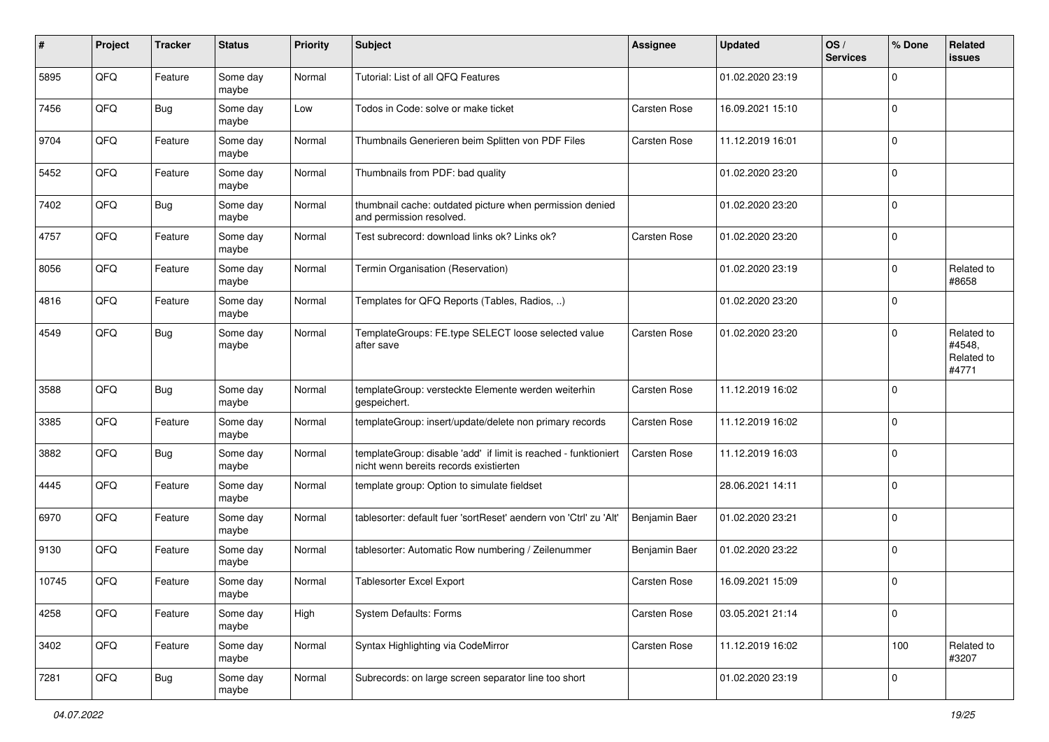| #     | Project | <b>Tracker</b> | <b>Status</b>     | <b>Priority</b> | <b>Subject</b>                                                                                            | <b>Assignee</b> | <b>Updated</b>   | OS/<br><b>Services</b> | % Done      | Related<br><b>issues</b>                    |
|-------|---------|----------------|-------------------|-----------------|-----------------------------------------------------------------------------------------------------------|-----------------|------------------|------------------------|-------------|---------------------------------------------|
| 5895  | QFQ     | Feature        | Some day<br>maybe | Normal          | Tutorial: List of all QFQ Features                                                                        |                 | 01.02.2020 23:19 |                        | $\Omega$    |                                             |
| 7456  | QFQ     | <b>Bug</b>     | Some day<br>maybe | Low             | Todos in Code: solve or make ticket                                                                       | Carsten Rose    | 16.09.2021 15:10 |                        | $\mathbf 0$ |                                             |
| 9704  | QFQ     | Feature        | Some day<br>maybe | Normal          | Thumbnails Generieren beim Splitten von PDF Files                                                         | Carsten Rose    | 11.12.2019 16:01 |                        | $\Omega$    |                                             |
| 5452  | QFQ     | Feature        | Some day<br>maybe | Normal          | Thumbnails from PDF: bad quality                                                                          |                 | 01.02.2020 23:20 |                        | $\Omega$    |                                             |
| 7402  | QFQ     | Bug            | Some day<br>maybe | Normal          | thumbnail cache: outdated picture when permission denied<br>and permission resolved.                      |                 | 01.02.2020 23:20 |                        | $\Omega$    |                                             |
| 4757  | QFQ     | Feature        | Some day<br>maybe | Normal          | Test subrecord: download links ok? Links ok?                                                              | Carsten Rose    | 01.02.2020 23:20 |                        | $\mathbf 0$ |                                             |
| 8056  | QFQ     | Feature        | Some day<br>maybe | Normal          | Termin Organisation (Reservation)                                                                         |                 | 01.02.2020 23:19 |                        | $\mathbf 0$ | Related to<br>#8658                         |
| 4816  | QFQ     | Feature        | Some day<br>maybe | Normal          | Templates for QFQ Reports (Tables, Radios, )                                                              |                 | 01.02.2020 23:20 |                        | $\Omega$    |                                             |
| 4549  | QFQ     | Bug            | Some day<br>maybe | Normal          | TemplateGroups: FE.type SELECT loose selected value<br>after save                                         | Carsten Rose    | 01.02.2020 23:20 |                        | $\Omega$    | Related to<br>#4548,<br>Related to<br>#4771 |
| 3588  | QFQ     | <b>Bug</b>     | Some day<br>maybe | Normal          | templateGroup: versteckte Elemente werden weiterhin<br>gespeichert.                                       | Carsten Rose    | 11.12.2019 16:02 |                        | $\Omega$    |                                             |
| 3385  | QFQ     | Feature        | Some day<br>maybe | Normal          | templateGroup: insert/update/delete non primary records                                                   | Carsten Rose    | 11.12.2019 16:02 |                        | $\mathbf 0$ |                                             |
| 3882  | QFQ     | <b>Bug</b>     | Some day<br>maybe | Normal          | templateGroup: disable 'add' if limit is reached - funktioniert<br>nicht wenn bereits records existierten | Carsten Rose    | 11.12.2019 16:03 |                        | $\Omega$    |                                             |
| 4445  | QFQ     | Feature        | Some day<br>maybe | Normal          | template group: Option to simulate fieldset                                                               |                 | 28.06.2021 14:11 |                        | $\Omega$    |                                             |
| 6970  | QFQ     | Feature        | Some day<br>maybe | Normal          | tablesorter: default fuer 'sortReset' aendern von 'Ctrl' zu 'Alt'                                         | Benjamin Baer   | 01.02.2020 23:21 |                        | $\Omega$    |                                             |
| 9130  | QFQ     | Feature        | Some day<br>maybe | Normal          | tablesorter: Automatic Row numbering / Zeilenummer                                                        | Benjamin Baer   | 01.02.2020 23:22 |                        | $\mathbf 0$ |                                             |
| 10745 | QFQ     | Feature        | Some day<br>maybe | Normal          | <b>Tablesorter Excel Export</b>                                                                           | Carsten Rose    | 16.09.2021 15:09 |                        | $\Omega$    |                                             |
| 4258  | QFQ     | Feature        | Some day<br>maybe | High            | System Defaults: Forms                                                                                    | Carsten Rose    | 03.05.2021 21:14 |                        | $\mathbf 0$ |                                             |
| 3402  | QFQ     | Feature        | Some day<br>maybe | Normal          | Syntax Highlighting via CodeMirror                                                                        | Carsten Rose    | 11.12.2019 16:02 |                        | 100         | Related to<br>#3207                         |
| 7281  | QFQ     | Bug            | Some day<br>maybe | Normal          | Subrecords: on large screen separator line too short                                                      |                 | 01.02.2020 23:19 |                        | $\mathbf 0$ |                                             |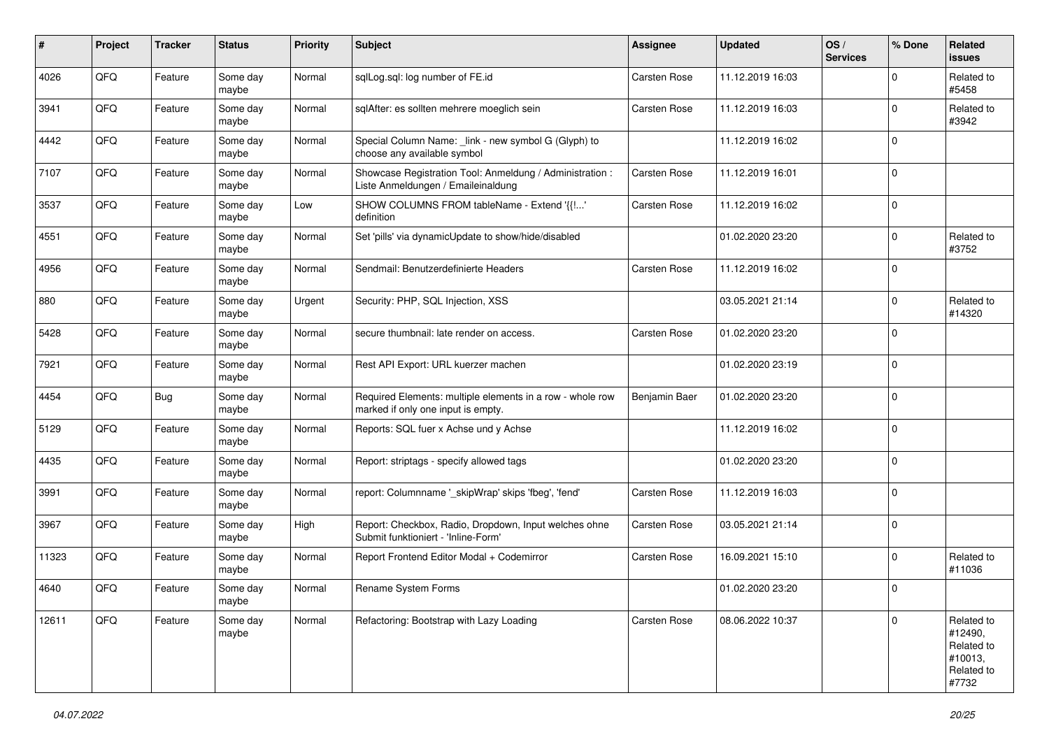| #     | Project | <b>Tracker</b> | <b>Status</b>     | <b>Priority</b> | <b>Subject</b>                                                                                  | <b>Assignee</b> | <b>Updated</b>   | OS/<br><b>Services</b> | % Done      | Related<br><b>issues</b>                                              |
|-------|---------|----------------|-------------------|-----------------|-------------------------------------------------------------------------------------------------|-----------------|------------------|------------------------|-------------|-----------------------------------------------------------------------|
| 4026  | QFQ     | Feature        | Some day<br>maybe | Normal          | sqlLog.sql: log number of FE.id                                                                 | Carsten Rose    | 11.12.2019 16:03 |                        | $\Omega$    | Related to<br>#5458                                                   |
| 3941  | QFQ     | Feature        | Some day<br>maybe | Normal          | sqlAfter: es sollten mehrere moeglich sein                                                      | Carsten Rose    | 11.12.2019 16:03 |                        | $\mathbf 0$ | Related to<br>#3942                                                   |
| 4442  | QFQ     | Feature        | Some day<br>maybe | Normal          | Special Column Name: _link - new symbol G (Glyph) to<br>choose any available symbol             |                 | 11.12.2019 16:02 |                        | $\mathbf 0$ |                                                                       |
| 7107  | QFQ     | Feature        | Some day<br>maybe | Normal          | Showcase Registration Tool: Anmeldung / Administration :<br>Liste Anmeldungen / Emaileinaldung  | Carsten Rose    | 11.12.2019 16:01 |                        | $\mathbf 0$ |                                                                       |
| 3537  | QFQ     | Feature        | Some day<br>maybe | Low             | SHOW COLUMNS FROM tableName - Extend '{{!'<br>definition                                        | Carsten Rose    | 11.12.2019 16:02 |                        | $\mathbf 0$ |                                                                       |
| 4551  | QFQ     | Feature        | Some day<br>maybe | Normal          | Set 'pills' via dynamicUpdate to show/hide/disabled                                             |                 | 01.02.2020 23:20 |                        | $\mathbf 0$ | Related to<br>#3752                                                   |
| 4956  | QFQ     | Feature        | Some day<br>maybe | Normal          | Sendmail: Benutzerdefinierte Headers                                                            | Carsten Rose    | 11.12.2019 16:02 |                        | $\mathbf 0$ |                                                                       |
| 880   | QFQ     | Feature        | Some day<br>maybe | Urgent          | Security: PHP, SQL Injection, XSS                                                               |                 | 03.05.2021 21:14 |                        | $\mathbf 0$ | Related to<br>#14320                                                  |
| 5428  | QFQ     | Feature        | Some day<br>maybe | Normal          | secure thumbnail: late render on access.                                                        | Carsten Rose    | 01.02.2020 23:20 |                        | $\mathbf 0$ |                                                                       |
| 7921  | QFQ     | Feature        | Some day<br>maybe | Normal          | Rest API Export: URL kuerzer machen                                                             |                 | 01.02.2020 23:19 |                        | $\Omega$    |                                                                       |
| 4454  | QFQ     | Bug            | Some day<br>maybe | Normal          | Required Elements: multiple elements in a row - whole row<br>marked if only one input is empty. | Benjamin Baer   | 01.02.2020 23:20 |                        | $\mathbf 0$ |                                                                       |
| 5129  | QFQ     | Feature        | Some day<br>maybe | Normal          | Reports: SQL fuer x Achse und y Achse                                                           |                 | 11.12.2019 16:02 |                        | $\mathbf 0$ |                                                                       |
| 4435  | QFQ     | Feature        | Some day<br>maybe | Normal          | Report: striptags - specify allowed tags                                                        |                 | 01.02.2020 23:20 |                        | $\mathbf 0$ |                                                                       |
| 3991  | QFQ     | Feature        | Some day<br>maybe | Normal          | report: Columnname '_skipWrap' skips 'fbeg', 'fend'                                             | Carsten Rose    | 11.12.2019 16:03 |                        | $\mathbf 0$ |                                                                       |
| 3967  | QFQ     | Feature        | Some day<br>maybe | High            | Report: Checkbox, Radio, Dropdown, Input welches ohne<br>Submit funktioniert - 'Inline-Form'    | Carsten Rose    | 03.05.2021 21:14 |                        | $\mathbf 0$ |                                                                       |
| 11323 | QFQ     | Feature        | Some day<br>maybe | Normal          | Report Frontend Editor Modal + Codemirror                                                       | Carsten Rose    | 16.09.2021 15:10 |                        | $\mathbf 0$ | Related to<br>#11036                                                  |
| 4640  | QFQ     | Feature        | Some day<br>maybe | Normal          | Rename System Forms                                                                             |                 | 01.02.2020 23:20 |                        | $\Omega$    |                                                                       |
| 12611 | QFQ     | Feature        | Some day<br>maybe | Normal          | Refactoring: Bootstrap with Lazy Loading                                                        | Carsten Rose    | 08.06.2022 10:37 |                        | $\mathbf 0$ | Related to<br>#12490,<br>Related to<br>#10013,<br>Related to<br>#7732 |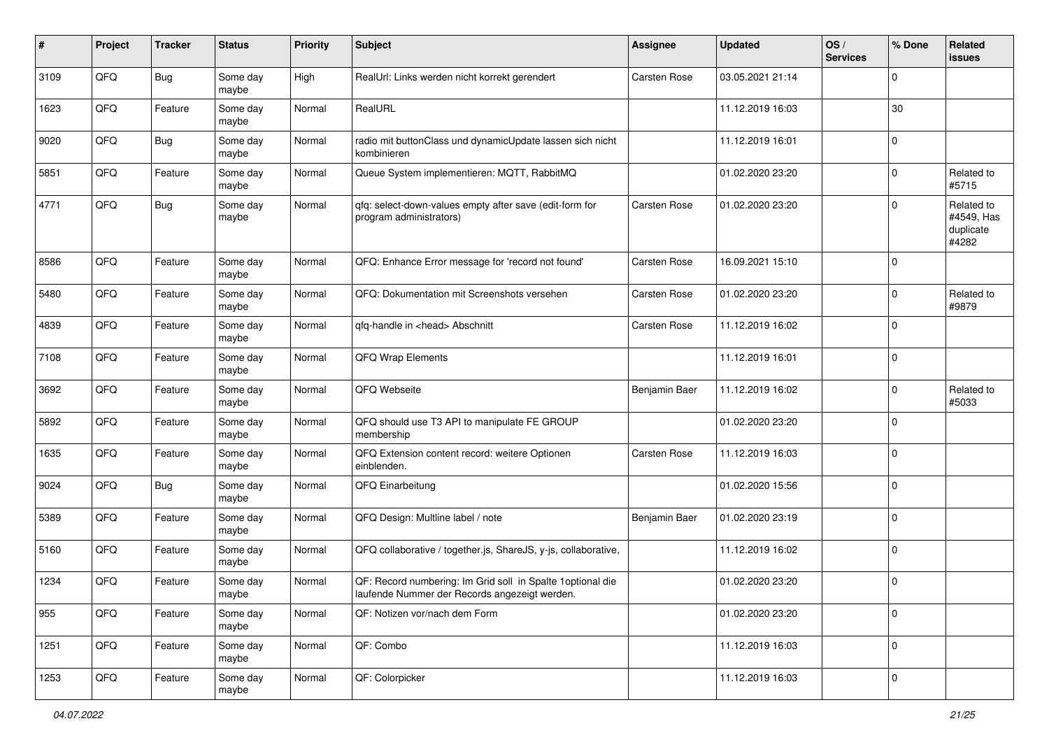| #    | Project | <b>Tracker</b> | <b>Status</b>     | <b>Priority</b> | <b>Subject</b>                                                                                               | <b>Assignee</b> | <b>Updated</b>   | OS/<br><b>Services</b> | % Done         | Related<br><b>issues</b>                       |
|------|---------|----------------|-------------------|-----------------|--------------------------------------------------------------------------------------------------------------|-----------------|------------------|------------------------|----------------|------------------------------------------------|
| 3109 | QFQ     | <b>Bug</b>     | Some day<br>maybe | High            | RealUrl: Links werden nicht korrekt gerendert                                                                | Carsten Rose    | 03.05.2021 21:14 |                        | $\Omega$       |                                                |
| 1623 | QFQ     | Feature        | Some day<br>maybe | Normal          | RealURL                                                                                                      |                 | 11.12.2019 16:03 |                        | 30             |                                                |
| 9020 | QFQ     | <b>Bug</b>     | Some day<br>maybe | Normal          | radio mit buttonClass und dynamicUpdate lassen sich nicht<br>kombinieren                                     |                 | 11.12.2019 16:01 |                        | $\mathbf 0$    |                                                |
| 5851 | QFQ     | Feature        | Some day<br>maybe | Normal          | Queue System implementieren: MQTT, RabbitMQ                                                                  |                 | 01.02.2020 23:20 |                        | 0              | Related to<br>#5715                            |
| 4771 | QFQ     | <b>Bug</b>     | Some day<br>maybe | Normal          | qfq: select-down-values empty after save (edit-form for<br>program administrators)                           | Carsten Rose    | 01.02.2020 23:20 |                        | $\Omega$       | Related to<br>#4549, Has<br>duplicate<br>#4282 |
| 8586 | QFQ     | Feature        | Some day<br>maybe | Normal          | QFQ: Enhance Error message for 'record not found'                                                            | Carsten Rose    | 16.09.2021 15:10 |                        | $\mathbf 0$    |                                                |
| 5480 | QFQ     | Feature        | Some day<br>maybe | Normal          | QFQ: Dokumentation mit Screenshots versehen                                                                  | Carsten Rose    | 01.02.2020 23:20 |                        | $\mathbf 0$    | Related to<br>#9879                            |
| 4839 | QFQ     | Feature        | Some day<br>maybe | Normal          | qfq-handle in <head> Abschnitt</head>                                                                        | Carsten Rose    | 11.12.2019 16:02 |                        | $\mathbf 0$    |                                                |
| 7108 | QFQ     | Feature        | Some day<br>maybe | Normal          | QFQ Wrap Elements                                                                                            |                 | 11.12.2019 16:01 |                        | $\mathbf 0$    |                                                |
| 3692 | QFQ     | Feature        | Some day<br>maybe | Normal          | QFQ Webseite                                                                                                 | Benjamin Baer   | 11.12.2019 16:02 |                        | $\mathbf 0$    | Related to<br>#5033                            |
| 5892 | QFQ     | Feature        | Some day<br>maybe | Normal          | QFQ should use T3 API to manipulate FE GROUP<br>membership                                                   |                 | 01.02.2020 23:20 |                        | $\mathbf 0$    |                                                |
| 1635 | QFQ     | Feature        | Some day<br>maybe | Normal          | QFQ Extension content record: weitere Optionen<br>einblenden.                                                | Carsten Rose    | 11.12.2019 16:03 |                        | $\mathbf 0$    |                                                |
| 9024 | QFQ     | <b>Bug</b>     | Some day<br>maybe | Normal          | QFQ Einarbeitung                                                                                             |                 | 01.02.2020 15:56 |                        | $\mathbf 0$    |                                                |
| 5389 | QFQ     | Feature        | Some day<br>maybe | Normal          | QFQ Design: Multline label / note                                                                            | Benjamin Baer   | 01.02.2020 23:19 |                        | $\mathbf 0$    |                                                |
| 5160 | QFQ     | Feature        | Some day<br>maybe | Normal          | QFQ collaborative / together.js, ShareJS, y-js, collaborative,                                               |                 | 11.12.2019 16:02 |                        | $\mathbf 0$    |                                                |
| 1234 | QFQ     | Feature        | Some day<br>maybe | Normal          | QF: Record numbering: Im Grid soll in Spalte 1 optional die<br>laufende Nummer der Records angezeigt werden. |                 | 01.02.2020 23:20 |                        | $\mathbf 0$    |                                                |
| 955  | QFQ     | Feature        | Some day<br>maybe | Normal          | QF: Notizen vor/nach dem Form                                                                                |                 | 01.02.2020 23:20 |                        | $\mathbf 0$    |                                                |
| 1251 | QFG     | Feature        | Some day<br>maybe | Normal          | QF: Combo                                                                                                    |                 | 11.12.2019 16:03 |                        | $\mathbf 0$    |                                                |
| 1253 | QFG     | Feature        | Some day<br>maybe | Normal          | QF: Colorpicker                                                                                              |                 | 11.12.2019 16:03 |                        | $\overline{0}$ |                                                |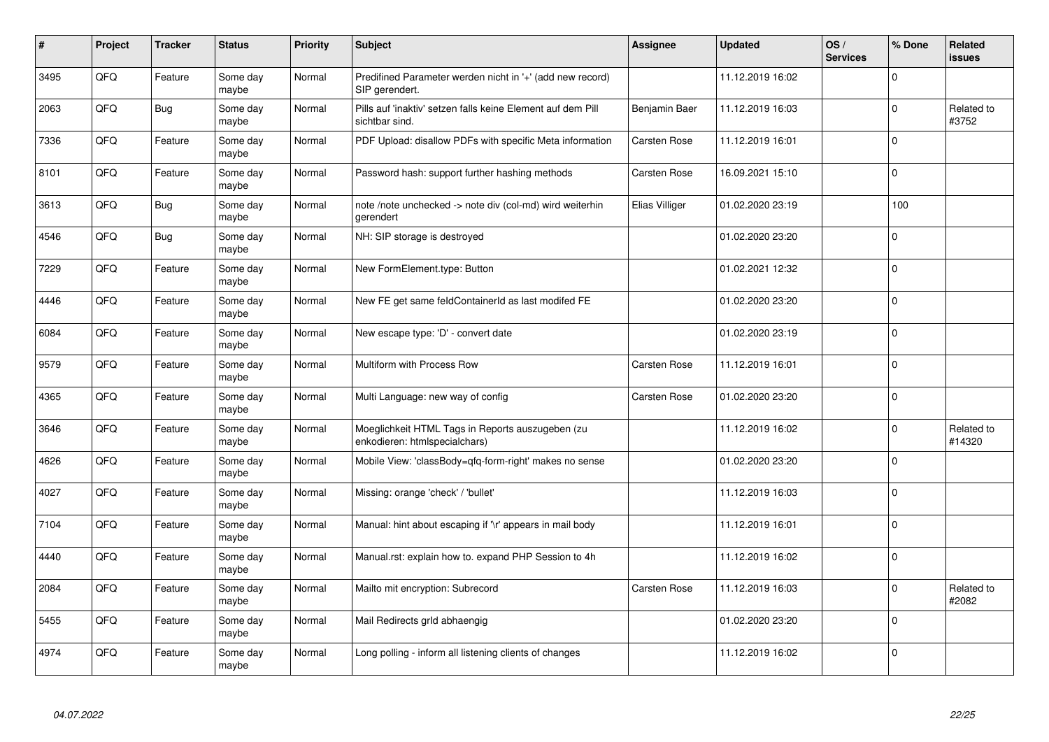| #    | Project | <b>Tracker</b> | <b>Status</b>     | <b>Priority</b> | <b>Subject</b>                                                                    | <b>Assignee</b> | <b>Updated</b>   | OS/<br><b>Services</b> | % Done      | Related<br><b>issues</b> |
|------|---------|----------------|-------------------|-----------------|-----------------------------------------------------------------------------------|-----------------|------------------|------------------------|-------------|--------------------------|
| 3495 | QFQ     | Feature        | Some day<br>maybe | Normal          | Predifined Parameter werden nicht in '+' (add new record)<br>SIP gerendert.       |                 | 11.12.2019 16:02 |                        | $\Omega$    |                          |
| 2063 | QFQ     | <b>Bug</b>     | Some day<br>maybe | Normal          | Pills auf 'inaktiv' setzen falls keine Element auf dem Pill<br>sichtbar sind.     | Benjamin Baer   | 11.12.2019 16:03 |                        | $\Omega$    | Related to<br>#3752      |
| 7336 | QFQ     | Feature        | Some day<br>maybe | Normal          | PDF Upload: disallow PDFs with specific Meta information                          | Carsten Rose    | 11.12.2019 16:01 |                        | $\Omega$    |                          |
| 8101 | QFQ     | Feature        | Some day<br>maybe | Normal          | Password hash: support further hashing methods                                    | Carsten Rose    | 16.09.2021 15:10 |                        | $\Omega$    |                          |
| 3613 | QFQ     | Bug            | Some day<br>maybe | Normal          | note /note unchecked -> note div (col-md) wird weiterhin<br>gerendert             | Elias Villiger  | 01.02.2020 23:19 |                        | 100         |                          |
| 4546 | QFQ     | Bug            | Some day<br>maybe | Normal          | NH: SIP storage is destroyed                                                      |                 | 01.02.2020 23:20 |                        | $\mathbf 0$ |                          |
| 7229 | QFQ     | Feature        | Some day<br>maybe | Normal          | New FormElement.type: Button                                                      |                 | 01.02.2021 12:32 |                        | $\Omega$    |                          |
| 4446 | QFQ     | Feature        | Some day<br>maybe | Normal          | New FE get same feldContainerId as last modifed FE                                |                 | 01.02.2020 23:20 |                        | $\Omega$    |                          |
| 6084 | QFQ     | Feature        | Some day<br>maybe | Normal          | New escape type: 'D' - convert date                                               |                 | 01.02.2020 23:19 |                        | $\Omega$    |                          |
| 9579 | QFQ     | Feature        | Some day<br>maybe | Normal          | Multiform with Process Row                                                        | Carsten Rose    | 11.12.2019 16:01 |                        | $\mathbf 0$ |                          |
| 4365 | QFQ     | Feature        | Some day<br>maybe | Normal          | Multi Language: new way of config                                                 | Carsten Rose    | 01.02.2020 23:20 |                        | $\Omega$    |                          |
| 3646 | QFQ     | Feature        | Some day<br>maybe | Normal          | Moeglichkeit HTML Tags in Reports auszugeben (zu<br>enkodieren: htmlspecialchars) |                 | 11.12.2019 16:02 |                        | $\mathbf 0$ | Related to<br>#14320     |
| 4626 | QFQ     | Feature        | Some day<br>maybe | Normal          | Mobile View: 'classBody=qfq-form-right' makes no sense                            |                 | 01.02.2020 23:20 |                        | $\Omega$    |                          |
| 4027 | QFQ     | Feature        | Some day<br>maybe | Normal          | Missing: orange 'check' / 'bullet'                                                |                 | 11.12.2019 16:03 |                        | $\pmb{0}$   |                          |
| 7104 | QFQ     | Feature        | Some day<br>maybe | Normal          | Manual: hint about escaping if '\r' appears in mail body                          |                 | 11.12.2019 16:01 |                        | $\Omega$    |                          |
| 4440 | QFQ     | Feature        | Some day<br>maybe | Normal          | Manual.rst: explain how to. expand PHP Session to 4h                              |                 | 11.12.2019 16:02 |                        | $\mathbf 0$ |                          |
| 2084 | QFQ     | Feature        | Some day<br>maybe | Normal          | Mailto mit encryption: Subrecord                                                  | Carsten Rose    | 11.12.2019 16:03 |                        | $\Omega$    | Related to<br>#2082      |
| 5455 | QFQ     | Feature        | Some day<br>maybe | Normal          | Mail Redirects grld abhaengig                                                     |                 | 01.02.2020 23:20 |                        | $\Omega$    |                          |
| 4974 | QFQ     | Feature        | Some day<br>maybe | Normal          | Long polling - inform all listening clients of changes                            |                 | 11.12.2019 16:02 |                        | $\Omega$    |                          |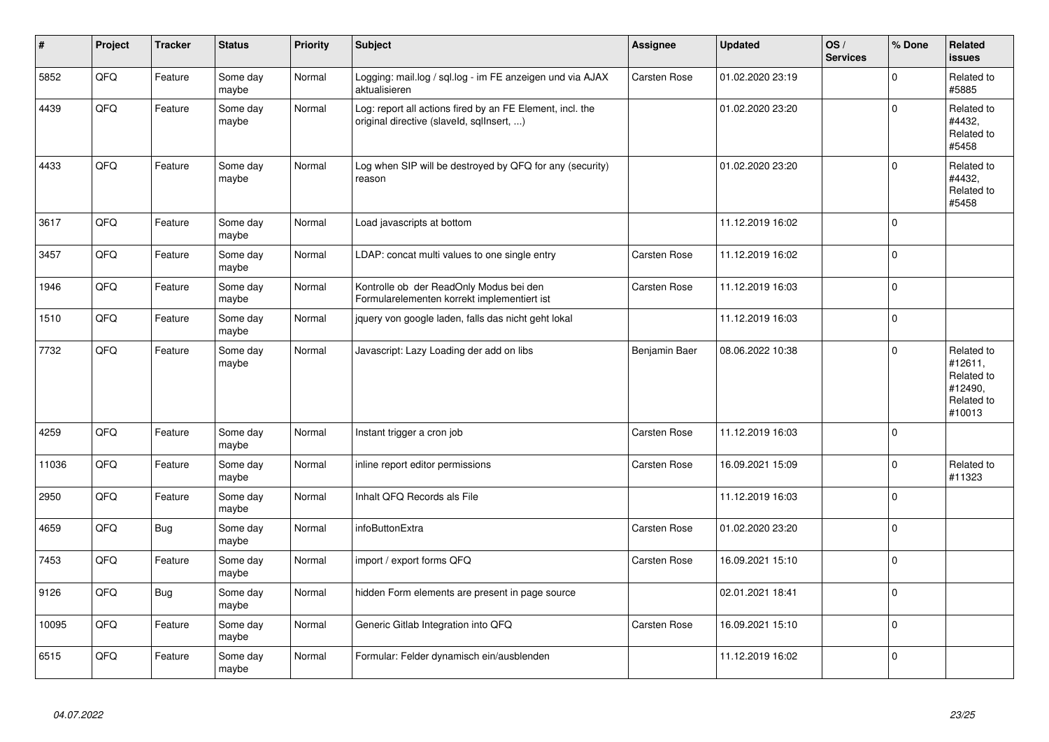| ∦     | Project | <b>Tracker</b> | <b>Status</b>     | <b>Priority</b> | <b>Subject</b>                                                                                         | <b>Assignee</b> | <b>Updated</b>   | OS/<br><b>Services</b> | % Done       | Related<br><b>issues</b>                                               |
|-------|---------|----------------|-------------------|-----------------|--------------------------------------------------------------------------------------------------------|-----------------|------------------|------------------------|--------------|------------------------------------------------------------------------|
| 5852  | QFQ     | Feature        | Some day<br>maybe | Normal          | Logging: mail.log / sql.log - im FE anzeigen und via AJAX<br>aktualisieren                             | Carsten Rose    | 01.02.2020 23:19 |                        | $\Omega$     | Related to<br>#5885                                                    |
| 4439  | QFQ     | Feature        | Some day<br>maybe | Normal          | Log: report all actions fired by an FE Element, incl. the<br>original directive (slaveld, sqllnsert, ) |                 | 01.02.2020 23:20 |                        | $\Omega$     | Related to<br>#4432,<br>Related to<br>#5458                            |
| 4433  | QFQ     | Feature        | Some day<br>maybe | Normal          | Log when SIP will be destroyed by QFQ for any (security)<br>reason                                     |                 | 01.02.2020 23:20 |                        | $\Omega$     | Related to<br>#4432,<br>Related to<br>#5458                            |
| 3617  | QFQ     | Feature        | Some day<br>maybe | Normal          | Load javascripts at bottom                                                                             |                 | 11.12.2019 16:02 |                        | $\mathbf 0$  |                                                                        |
| 3457  | QFQ     | Feature        | Some day<br>maybe | Normal          | LDAP: concat multi values to one single entry                                                          | Carsten Rose    | 11.12.2019 16:02 |                        | $\mathbf 0$  |                                                                        |
| 1946  | QFQ     | Feature        | Some day<br>maybe | Normal          | Kontrolle ob der ReadOnly Modus bei den<br>Formularelementen korrekt implementiert ist                 | Carsten Rose    | 11.12.2019 16:03 |                        | $\mathbf 0$  |                                                                        |
| 1510  | QFQ     | Feature        | Some day<br>maybe | Normal          | jquery von google laden, falls das nicht geht lokal                                                    |                 | 11.12.2019 16:03 |                        | $\mathbf 0$  |                                                                        |
| 7732  | QFQ     | Feature        | Some day<br>maybe | Normal          | Javascript: Lazy Loading der add on libs                                                               | Benjamin Baer   | 08.06.2022 10:38 |                        | $\mathbf{0}$ | Related to<br>#12611,<br>Related to<br>#12490,<br>Related to<br>#10013 |
| 4259  | QFQ     | Feature        | Some day<br>maybe | Normal          | Instant trigger a cron job                                                                             | Carsten Rose    | 11.12.2019 16:03 |                        | $\Omega$     |                                                                        |
| 11036 | QFQ     | Feature        | Some day<br>maybe | Normal          | inline report editor permissions                                                                       | Carsten Rose    | 16.09.2021 15:09 |                        | $\mathbf 0$  | Related to<br>#11323                                                   |
| 2950  | QFQ     | Feature        | Some day<br>maybe | Normal          | Inhalt QFQ Records als File                                                                            |                 | 11.12.2019 16:03 |                        | $\pmb{0}$    |                                                                        |
| 4659  | QFQ     | Bug            | Some day<br>maybe | Normal          | infoButtonExtra                                                                                        | Carsten Rose    | 01.02.2020 23:20 |                        | $\pmb{0}$    |                                                                        |
| 7453  | QFQ     | Feature        | Some day<br>maybe | Normal          | import / export forms QFQ                                                                              | Carsten Rose    | 16.09.2021 15:10 |                        | $\Omega$     |                                                                        |
| 9126  | QFQ     | Bug            | Some day<br>maybe | Normal          | hidden Form elements are present in page source                                                        |                 | 02.01.2021 18:41 |                        | $\Omega$     |                                                                        |
| 10095 | QFQ     | Feature        | Some day<br>maybe | Normal          | Generic Gitlab Integration into QFQ                                                                    | Carsten Rose    | 16.09.2021 15:10 |                        | $\mathbf 0$  |                                                                        |
| 6515  | QFQ     | Feature        | Some day<br>maybe | Normal          | Formular: Felder dynamisch ein/ausblenden                                                              |                 | 11.12.2019 16:02 |                        | $\mathbf 0$  |                                                                        |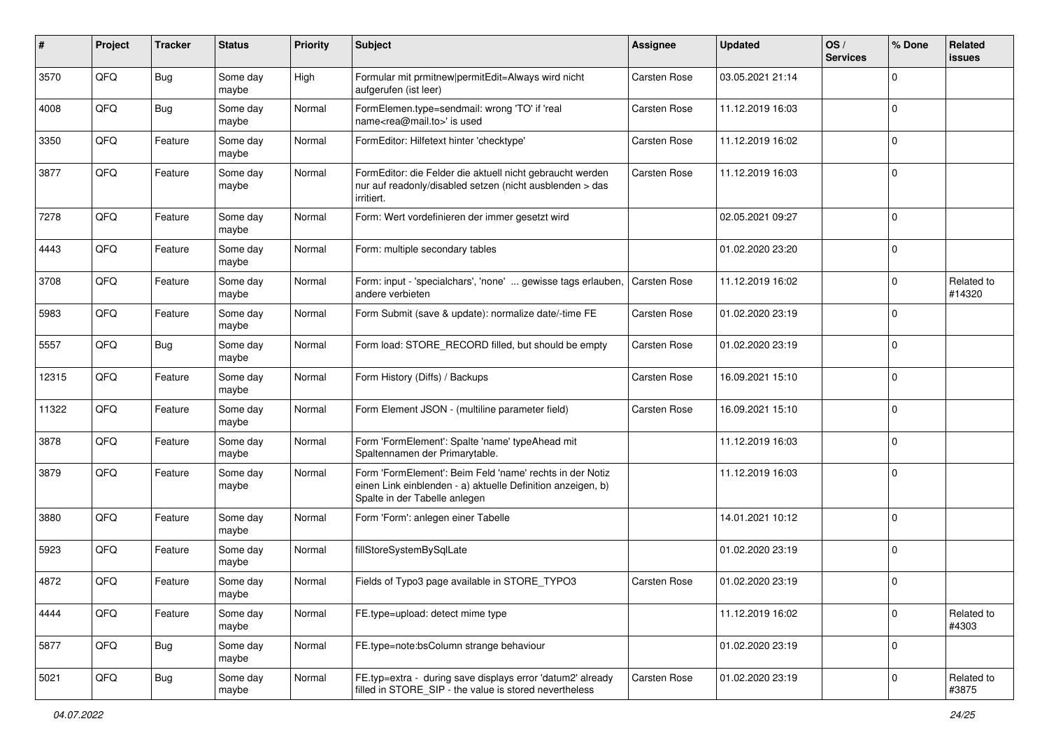| ∦     | Project | <b>Tracker</b> | <b>Status</b>     | <b>Priority</b> | Subject                                                                                                                                                  | Assignee     | <b>Updated</b>   | OS/<br><b>Services</b> | % Done      | Related<br>issues    |
|-------|---------|----------------|-------------------|-----------------|----------------------------------------------------------------------------------------------------------------------------------------------------------|--------------|------------------|------------------------|-------------|----------------------|
| 3570  | QFQ     | <b>Bug</b>     | Some day<br>maybe | High            | Formular mit prmitnew permitEdit=Always wird nicht<br>aufgerufen (ist leer)                                                                              | Carsten Rose | 03.05.2021 21:14 |                        | $\Omega$    |                      |
| 4008  | QFQ     | Bug            | Some day<br>maybe | Normal          | FormElemen.type=sendmail: wrong 'TO' if 'real<br>name <rea@mail.to>' is used</rea@mail.to>                                                               | Carsten Rose | 11.12.2019 16:03 |                        | $\Omega$    |                      |
| 3350  | QFQ     | Feature        | Some day<br>maybe | Normal          | FormEditor: Hilfetext hinter 'checktype'                                                                                                                 | Carsten Rose | 11.12.2019 16:02 |                        | $\Omega$    |                      |
| 3877  | QFQ     | Feature        | Some day<br>maybe | Normal          | FormEditor: die Felder die aktuell nicht gebraucht werden<br>nur auf readonly/disabled setzen (nicht ausblenden > das<br>irritiert.                      | Carsten Rose | 11.12.2019 16:03 |                        | $\mathbf 0$ |                      |
| 7278  | QFQ     | Feature        | Some day<br>maybe | Normal          | Form: Wert vordefinieren der immer gesetzt wird                                                                                                          |              | 02.05.2021 09:27 |                        | $\mathbf 0$ |                      |
| 4443  | QFQ     | Feature        | Some day<br>maybe | Normal          | Form: multiple secondary tables                                                                                                                          |              | 01.02.2020 23:20 |                        | $\mathbf 0$ |                      |
| 3708  | QFQ     | Feature        | Some day<br>maybe | Normal          | Form: input - 'specialchars', 'none'  gewisse tags erlauben,<br>andere verbieten                                                                         | Carsten Rose | 11.12.2019 16:02 |                        | $\mathbf 0$ | Related to<br>#14320 |
| 5983  | QFQ     | Feature        | Some day<br>maybe | Normal          | Form Submit (save & update): normalize date/-time FE                                                                                                     | Carsten Rose | 01.02.2020 23:19 |                        | $\Omega$    |                      |
| 5557  | QFQ     | <b>Bug</b>     | Some day<br>maybe | Normal          | Form load: STORE_RECORD filled, but should be empty                                                                                                      | Carsten Rose | 01.02.2020 23:19 |                        | $\mathbf 0$ |                      |
| 12315 | QFQ     | Feature        | Some day<br>maybe | Normal          | Form History (Diffs) / Backups                                                                                                                           | Carsten Rose | 16.09.2021 15:10 |                        | $\mathbf 0$ |                      |
| 11322 | QFQ     | Feature        | Some day<br>maybe | Normal          | Form Element JSON - (multiline parameter field)                                                                                                          | Carsten Rose | 16.09.2021 15:10 |                        | $\Omega$    |                      |
| 3878  | QFQ     | Feature        | Some day<br>maybe | Normal          | Form 'FormElement': Spalte 'name' typeAhead mit<br>Spaltennamen der Primarytable.                                                                        |              | 11.12.2019 16:03 |                        | $\Omega$    |                      |
| 3879  | QFQ     | Feature        | Some day<br>maybe | Normal          | Form 'FormElement': Beim Feld 'name' rechts in der Notiz<br>einen Link einblenden - a) aktuelle Definition anzeigen, b)<br>Spalte in der Tabelle anlegen |              | 11.12.2019 16:03 |                        | $\Omega$    |                      |
| 3880  | QFQ     | Feature        | Some day<br>maybe | Normal          | Form 'Form': anlegen einer Tabelle                                                                                                                       |              | 14.01.2021 10:12 |                        | $\Omega$    |                      |
| 5923  | QFQ     | Feature        | Some day<br>maybe | Normal          | fillStoreSystemBySqlLate                                                                                                                                 |              | 01.02.2020 23:19 |                        | $\mathbf 0$ |                      |
| 4872  | QFQ     | Feature        | Some day<br>maybe | Normal          | Fields of Typo3 page available in STORE_TYPO3                                                                                                            | Carsten Rose | 01.02.2020 23:19 |                        | $\Omega$    |                      |
| 4444  | QFQ     | Feature        | Some day<br>maybe | Normal          | FE.type=upload: detect mime type                                                                                                                         |              | 11.12.2019 16:02 |                        | $\mathbf 0$ | Related to<br>#4303  |
| 5877  | QFQ     | Bug            | Some day<br>maybe | Normal          | FE.type=note:bsColumn strange behaviour                                                                                                                  |              | 01.02.2020 23:19 |                        | $\mathbf 0$ |                      |
| 5021  | QFQ     | <b>Bug</b>     | Some day<br>maybe | Normal          | FE.typ=extra - during save displays error 'datum2' already<br>filled in STORE_SIP - the value is stored nevertheless                                     | Carsten Rose | 01.02.2020 23:19 |                        | $\mathbf 0$ | Related to<br>#3875  |